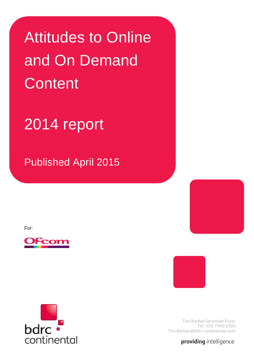Attitudes to Online and On Demand **Content** 

# 2014 report

Published April 2015

For:







providing intelligence

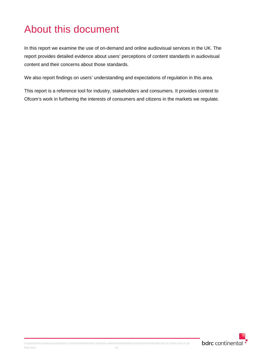## About this document

In this report we examine the use of on-demand and online audiovisual services in the UK. The report provides detailed evidence about users' perceptions of content standards in audiovisual content and their concerns about those standards.

We also report findings on users' understanding and expectations of regulation in this area.

This report is a reference tool for industry, stakeholders and consumers. It provides context to Ofcom's work in furthering the interests of consumers and citizens in the markets we regulate.

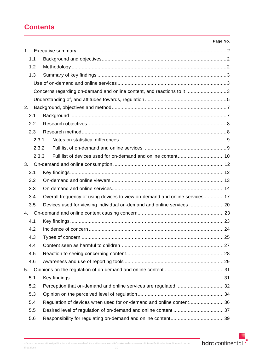## **Contents**

|                |                                                                             | Page No. |
|----------------|-----------------------------------------------------------------------------|----------|
| 1 <sub>1</sub> |                                                                             |          |
| 1.1            |                                                                             |          |
| 1.2            |                                                                             |          |
| 1.3            |                                                                             |          |
|                |                                                                             |          |
|                | Concerns regarding on-demand and online content, and reactions to it 3      |          |
|                |                                                                             |          |
| 2.             |                                                                             |          |
| 2.1            |                                                                             |          |
| 2.2            |                                                                             |          |
| 2.3            |                                                                             |          |
|                | 2.3.1                                                                       |          |
|                | 2.3.2                                                                       |          |
|                | 2.3.3                                                                       |          |
| 3.             |                                                                             |          |
| 3.1            |                                                                             |          |
| 3.2            |                                                                             |          |
| 3.3            |                                                                             |          |
| 3.4            | Overall frequency of using devices to view on-demand and online services 17 |          |
| 3.5            | Devices used for viewing individual on-demand and online services           |          |
| 4.             |                                                                             |          |
| 4.1            |                                                                             |          |
| 4.2            |                                                                             |          |
| 4.3            |                                                                             |          |
| 4.4            |                                                                             |          |
| 4.5            |                                                                             |          |
| 4.6            |                                                                             |          |
| 5.             |                                                                             |          |
| 5.1            |                                                                             |          |
| 5.2            | Perception that on-demand and online services are regulated 32              |          |
| 5.3            |                                                                             |          |
| 5.4            | Regulation of devices when used for on-demand and online content36          |          |
| 5.5            |                                                                             |          |
| 5.6            |                                                                             |          |

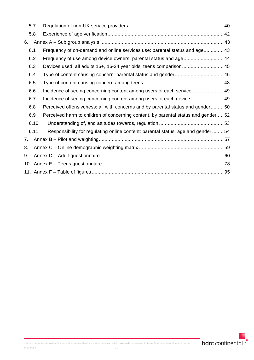|    | 5.7  |                                                                                   |  |
|----|------|-----------------------------------------------------------------------------------|--|
|    | 5.8  |                                                                                   |  |
| 6. |      |                                                                                   |  |
|    | 6.1  | Frequency of on-demand and online services use: parental status and age 43        |  |
|    | 6.2  | Frequency of use among device owners: parental status and age 44                  |  |
|    | 6.3  | Devices used: all adults 16+, 16-24 year olds, teens comparison 45                |  |
|    | 6.4  |                                                                                   |  |
|    | 6.5  |                                                                                   |  |
|    | 6.6  |                                                                                   |  |
|    | 6.7  |                                                                                   |  |
|    | 6.8  | Perceived offensiveness: all with concerns and by parental status and gender50    |  |
|    | 6.9  | Perceived harm to children of concerning content, by parental status and gender52 |  |
|    | 6.10 |                                                                                   |  |
|    | 6.11 | Responsibility for regulating online content: parental status, age and gender  54 |  |
| 7. |      |                                                                                   |  |
| 8. |      |                                                                                   |  |
| 9. |      |                                                                                   |  |
|    |      |                                                                                   |  |
|    |      |                                                                                   |  |

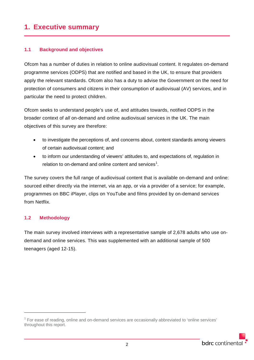## <span id="page-4-0"></span>**1. Executive summary**

#### <span id="page-4-1"></span>**1.1 Background and objectives**

Ofcom has a number of duties in relation to online audiovisual content. It regulates on-demand programme services (ODPS) that are notified and based in the UK, to ensure that providers apply the relevant standards. Ofcom also has a duty to advise the Government on the need for protection of consumers and citizens in their consumption of audiovisual (AV) services, and in particular the need to protect children.

Ofcom seeks to understand people's use of, and attitudes towards, notified ODPS in the broader context of *all* on-demand and online audiovisual services in the UK. The main objectives of this survey are therefore:

- to investigate the perceptions of, and concerns about, content standards among viewers of certain audiovisual content; and
- to inform our understanding of viewers' attitudes to, and expectations of, regulation in relation to on-demand and online content and services<sup>[1](#page-4-3)</sup>.

The survey covers the full range of audiovisual content that is available on-demand and online: sourced either directly via the internet, via an app, or via a provider of a service; for example, programmes on BBC iPlayer, clips on YouTube and films provided by on-demand services from Netflix.

#### <span id="page-4-2"></span>**1.2 Methodology**

-

The main survey involved interviews with a representative sample of 2,678 adults who use ondemand and online services. This was supplemented with an additional sample of 500 teenagers (aged 12-15).

<span id="page-4-3"></span> $1$  For ease of reading, online and on-demand services are occasionally abbreviated to 'online services' throughout this report.

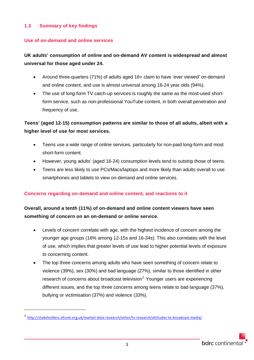#### <span id="page-5-0"></span>**1.3 Summary of key findings**

#### <span id="page-5-1"></span>**Use of on-demand and online services**

#### **UK adults' consumption of online and on-demand AV content is widespread and almost universal for those aged under 24.**

- Around three-quarters (71%) of adults aged 16+ claim to have 'ever viewed' on-demand and online content, and use is almost universal among 16-24 year olds (94%).
- The use of long-form TV catch-up services is roughly the same as the most-used shortform service, such as non-professional YouTube content, in both overall penetration and frequency of use.

#### **Teens' (aged 12-15) consumption patterns are similar to those of all adults, albeit with a higher level of use for most services.**

- Teens use a wide range of online services, particularly for non-paid long-form and most short-form content.
- However, young adults' (aged 16-24) consumption levels tend to outstrip those of teens.
- Teens are less likely to use PCs/Macs/laptops and more likely than adults overall to use smartphones and tablets to view on-demand and online services.

#### <span id="page-5-2"></span>**Concerns regarding on-demand and online content, and reactions to it**

#### **Overall, around a tenth (11%) of on-demand and online content viewers have seen something of concern on an on-demand or online service.**

- Levels of concern correlate with age, with the highest incidence of concern among the younger age groups (16% among 12-15s and 16-34s). This also correlates with the level of use, which implies that greater levels of use lead to higher potential levels of exposure to concerning content.
- The top three concerns among adults who have seen something of concern relate to violence (39%), sex (30%) and bad language (27%), similar to those identified in other research of concerns about broadcast television<sup>[2](#page-5-3).</sup> Younger users are experiencing different issues, and the top three concerns among teens relate to bad language (37%), bullying or victimisation (37%) and violence (33%).

-

<span id="page-5-3"></span><sup>2</sup> <http://stakeholders.ofcom.org.uk/market-data-research/other/tv-research/attitudes-to-broadcast-media/>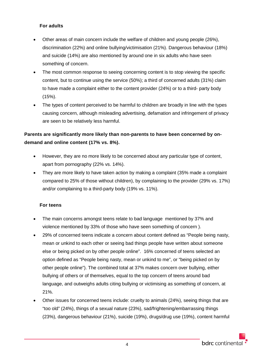#### **For adults**

- Other areas of main concern include the welfare of children and young people (26%), discrimination (22%) and online bullying/victimisation (21%). Dangerous behaviour (18%) and suicide (14%) are also mentioned by around one in six adults who have seen something of concern.
- The most common response to seeing concerning content is to stop viewing the specific content, but to continue using the service (50%); a third of concerned adults (31%) claim to have made a complaint either to the content provider (24%) or to a third- party body (15%).
- The types of content perceived to be harmful to children are broadly in line with the types causing concern, although misleading advertising, defamation and infringement of privacy are seen to be relatively less harmful.

#### **Parents are significantly more likely than non-parents to have been concerned by ondemand and online content (17% vs. 8%).**

- However, they are no more likely to be concerned about any particular type of content, apart from pornography (22% vs. 14%).
- They are more likely to have taken action by making a complaint (35% made a complaint compared to 25% of those without children), by complaining to the provider (29% vs. 17%) and/or complaining to a third-party body (19% vs. 11%).

#### **For teens**

- The main concerns amongst teens relate to bad language mentioned by 37% and violence mentioned by 33% of those who have seen something of concern ).
- 29% of concerned teens indicate a concern about content defined as "People being nasty, mean or unkind to each other or seeing bad things people have written about someone else or being picked on by other people online". 16% concerned of teens selected an option defined as "People being nasty, mean or unkind to me", or "being picked on by other people online"). The combined total at 37% makes concern over bullying, either bullying of others or of themselves, equal to the top concern of teens around bad language, and outweighs adults citing bullying or victimising as something of concern, at 21%.
- Other issues for concerned teens include: cruelty to animals (24%), seeing things that are "too old" (24%), things of a sexual nature (23%), sad/frightening/embarrassing things (23%), dangerous behaviour (21%), suicide (19%), drugs/drug use (19%), content harmful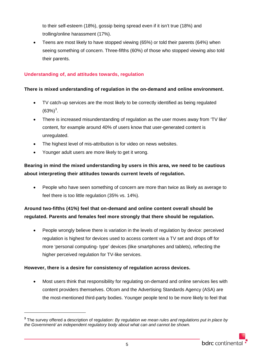to their self-esteem (18%), gossip being spread even if it isn't true (18%) and trolling/online harassment (17%).

• Teens are most likely to have stopped viewing (65%) or told their parents (64%) when seeing something of concern. Three-fifths (60%) of those who stopped viewing also told their parents.

#### <span id="page-7-0"></span>**Understanding of, and attitudes towards, regulation**

#### **There is mixed understanding of regulation in the on-demand and online environment.**

- TV catch-up services are the most likely to be correctly identified as being regulated  $(63\%)^3$  $(63\%)^3$  $(63\%)^3$ .
- There is increased misunderstanding of regulation as the user moves away from 'TV like' content, for example around 40% of users know that user-generated content is unregulated.
- The highest level of mis-attribution is for video on news websites.
- Younger adult users are more likely to get it wrong.

#### **Bearing in mind the mixed understanding by users in this area, we need to be cautious about interpreting their attitudes towards current levels of regulation.**

• People who have seen something of concern are more than twice as likely as average to feel there is too little regulation (35% vs. 14%).

#### **Around two-fifths (41%) feel that on-demand and online content overall should be regulated. Parents and females feel more strongly that there should be regulation.**

• People wrongly believe there is variation in the levels of regulation by device: perceived regulation is highest for devices used to access content via a TV set and drops off for more 'personal computing- type' devices (like smartphones and tablets), reflecting the higher perceived regulation for TV-like services.

#### **However, there is a desire for consistency of regulation across devices.**

-

• Most users think that responsibility for regulating on-demand and online services lies with content providers themselves. Ofcom and the Advertising Standards Agency (ASA) are the most-mentioned third-party bodies. Younger people tend to be more likely to feel that

<span id="page-7-1"></span>**<sup>3</sup>** The survey offered a description of regulation: *By regulation we mean rules and regulations put in place by the Government/ an independent regulatory body about what can and cannot be shown.*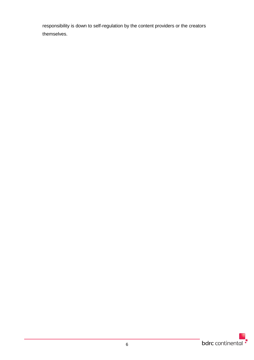responsibility is down to self-regulation by the content providers or the creators themselves.

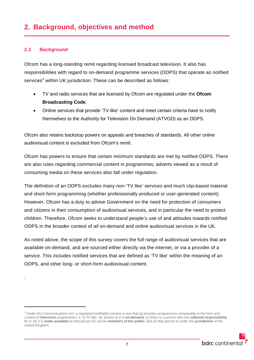#### <span id="page-9-1"></span><span id="page-9-0"></span>**2.1 Background**

.

 $\overline{a}$ 

Ofcom has a long-standing remit regarding licensed broadcast television. It also has responsibilities with regard to on-demand programme services (ODPS) that operate as notified services<sup>[4](#page-9-2)</sup> within UK jurisdiction. These can be described as follows:

- TV and radio services that are licensed by Ofcom are regulated under the **Ofcom Broadcasting Code**.
- Online services that provide 'TV-like' content and meet certain criteria have to notify themselves to the Authority for Television On Demand (ATVOD) as an ODPS.

Ofcom also retains backstop powers on appeals and breaches of standards. All other online audiovisual content is excluded from Ofcom's remit.

Ofcom has powers to ensure that certain minimum standards are met by notified ODPS. There are also rules regarding commercial content in programmes; adverts viewed as a result of consuming media on these services also fall under regulation.

The definition of an ODPS excludes many non-'TV like' services and much clip-based material and short-form programming (whether professionally produced or user-generated content). However, Ofcom has a duty to advise Government on the need for protection of consumers and citizens in their consumption of audiovisual services, and in particular the need to protect children. Therefore, Ofcom seeks to understand people's use of and attitudes towards notified ODPS in the broader context of *all* on-demand and online audiovisual services in the UK.

As noted above, the scope of this survey covers the full range of audiovisual services that are available on-demand, and are sourced either directly via the internet, or via a provider of a service. This includes notified services that are defined as 'TV like' within the meaning of an ODPS, and other long- or short-form audiovisual content.

<span id="page-9-2"></span><sup>4</sup> Under the Communications Act, a regulated (notifiable) service is one that (a) provides programmes comparable to the form and content of **television** programmes i.e. is TV-like, (b) access to it is **on-demand;** (c) there is a person who has **editorial responsibility**  for it; (d) it is **made available** by that person for use by **members of the public**; and (e) that person is under the **jurisdiction** of the United Kingdom.

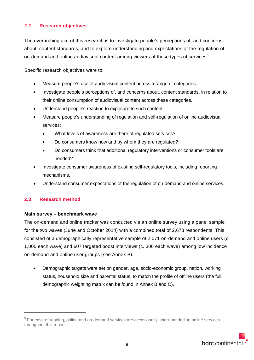#### <span id="page-10-0"></span>**2.2 Research objectives**

The overarching aim of this research is to investigate people's perceptions of, and concerns about, content standards, and to explore understanding and expectations of the regulation of on-demand and online audiovisual content among viewers of these types of services $^5\!$  $^5\!$  $^5\!$ .

Specific research objectives were to:

- Measure people's use of audiovisual content across a range of categories.
- Investigate people's perceptions of, and concerns about, content standards, in relation to their online consumption of audiovisual content across these categories.
- Understand people's reaction to exposure to such content.
- Measure people's understanding of regulation and self-regulation of online audiovisual services:
	- What levels of awareness are there of regulated services?
	- Do consumers know how and by whom they are regulated?
	- Do consumers think that additional regulatory interventions or consumer tools are needed?
- Investigate consumer awareness of existing self-regulatory tools, including reporting mechanisms.
- Understand consumer expectations of the regulation of on-demand and online services.

#### <span id="page-10-1"></span>**2.3 Research method**

-

#### **Main survey – benchmark wave**

The on-demand and online tracker was conducted via an online survey using a panel sample for the two waves (June and October 2014) with a combined total of 2,678 respondents. This consisted of a demographically representative sample of 2,071 on-demand and online users (c. 1,000 each wave) and 607 targeted boost interviews (c. 300 each wave) among low incidence on-demand and online user groups (see Annex B).

• Demographic targets were set on gender, age, socio-economic group, nation, working status, household size and parental status, to match the profile of offline users (the full demographic weighting matrix can be found in Annex B and C).

<span id="page-10-2"></span><sup>&</sup>lt;sup>5</sup> For ease of reading, online and on-demand services are occasionally 'short-handed' to online services throughout this report.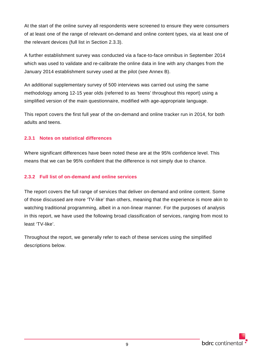At the start of the online survey all respondents were screened to ensure they were consumers of at least one of the range of relevant on-demand and online content types, via at least one of the relevant devices (full list in Section 2.3.3).

A further establishment survey was conducted via a face-to-face omnibus in September 2014 which was used to validate and re-calibrate the online data in line with any changes from the January 2014 establishment survey used at the pilot (see Annex B).

An additional supplementary survey of 500 interviews was carried out using the same methodology among 12-15 year olds (referred to as 'teens' throughout this report) using a simplified version of the main questionnaire, modified with age-appropriate language.

This report covers the first full year of the on-demand and online tracker run in 2014, for both adults and teens.

#### <span id="page-11-0"></span>**2.3.1 Notes on statistical differences**

Where significant differences have been noted these are at the 95% confidence level. This means that we can be 95% confident that the difference is not simply due to chance.

#### <span id="page-11-1"></span>**2.3.2 Full list of on-demand and online services**

The report covers the full range of services that deliver on-demand and online content. Some of those discussed are more 'TV-like' than others, meaning that the experience is more akin to watching traditional programming, albeit in a non-linear manner. For the purposes of analysis in this report, we have used the following broad classification of services, ranging from most to least 'TV-like'.

Throughout the report, we generally refer to each of these services using the simplified descriptions below.

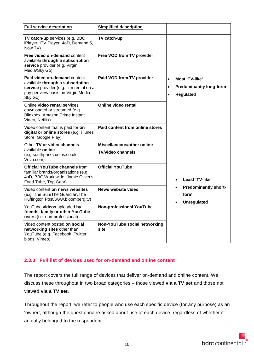| <b>Full service description</b>                                                                                                                               | <b>Simplified description</b>                   |                                                                                                             |
|---------------------------------------------------------------------------------------------------------------------------------------------------------------|-------------------------------------------------|-------------------------------------------------------------------------------------------------------------|
| TV catch-up services (e.g. BBC<br>iPlayer, ITV Player, 4oD, Demand 5,<br>Now TV)                                                                              | TV catch-up                                     |                                                                                                             |
| Free video on-demand content<br>available through a subscription<br>service provider (e.g. Virgin<br>Media/Sky Go)                                            | Free VOD from TV provider                       |                                                                                                             |
| Paid video on-demand content<br>available through a subscription<br>service provider (e.g. film rental on a<br>pay per view basis on Virgin Media,<br>Sky Go) | Paid VOD from TV provider                       | Most 'TV-like'<br>$\bullet$<br><b>Predominantly long-form</b><br>$\bullet$<br><b>Regulated</b><br>$\bullet$ |
| Online video rental services<br>downloaded or streamed (e.g.<br>Blinkbox, Amazon Prime Instant<br>Video, Netflix)                                             | <b>Online video rental</b>                      |                                                                                                             |
| Video content that is paid for on<br>digital or online stores (e.g. iTunes<br>Store, Google Play)                                                             | Paid content from online stores                 |                                                                                                             |
| Other TV or video channels<br>available online<br>(e.g.southparkstudios.co.uk,<br>Vevo.com)                                                                   | Miscellaneous/other online<br>TV/video channels |                                                                                                             |
| <b>Official YouTube channels from</b><br>familiar brands/organisations (e.g.<br>4oD, BBC Worldwide, Jamie Oliver's<br>Food Tube, Top Gear)                    | <b>Official YouTube</b>                         | Least 'TV-like'                                                                                             |
| Video content on news websites<br>(e.g. The Sun/The Guardian/The<br>Huffington Post/www.bloomberg.tv)                                                         | <b>News website video</b>                       | <b>Predominantly short-</b><br>form<br><b>Unregulated</b>                                                   |
| YouTube videos uploaded by<br>friends, family or other YouTube<br>users (i.e. non-professional)                                                               | <b>Non-professional YouTube</b>                 |                                                                                                             |
| Video content posted on social<br>networking sites other than<br>YouTube (e.g. Facebook, Twitter,<br>blogs, Vimeo)                                            | Non-YouTube social networking<br>site           |                                                                                                             |

#### <span id="page-12-0"></span>**2.3.3 Full list of devices used for on-demand and online content**

The report covers the full range of devices that deliver on-demand and online content. We discuss these throughout in two broad categories – those viewed **via a TV set** and those not viewed **via a TV set**.

Throughout the report, we refer to people who use each specific device (for any purpose) as an 'owner', although the questionnaire asked about use of each device, regardless of whether it actually belonged to the respondent.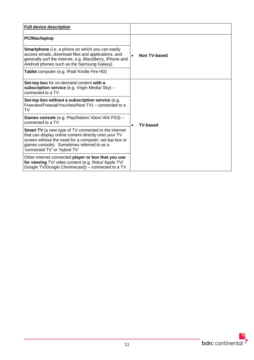| <b>Full device description</b>                                                                                                                                                                                                                                |                           |  |  |  |  |
|---------------------------------------------------------------------------------------------------------------------------------------------------------------------------------------------------------------------------------------------------------------|---------------------------|--|--|--|--|
| PC/Mac/laptop                                                                                                                                                                                                                                                 |                           |  |  |  |  |
| <b>Smartphone</b> (i.e. a phone on which you can easily<br>access emails, download files and applications, and<br>generally surf the internet, e.g. BlackBerry, iPhone and<br>Android phones such as the Samsung Galaxy)                                      | Non TV-based<br>$\bullet$ |  |  |  |  |
| Tablet computer (e.g. iPad/ Kindle Fire HD)                                                                                                                                                                                                                   |                           |  |  |  |  |
| Set-top box for on-demand content with a<br>subscription service (e.g. Virgin Media/ Sky) -<br>connected to a TV                                                                                                                                              |                           |  |  |  |  |
| Set-top box without a subscription service (e.g.<br>Freeview/Freesat/YouView/Now TV) - connected to a<br>TV.                                                                                                                                                  |                           |  |  |  |  |
| Games console (e.g. PlayStation/ Xbox/ Wii/ PS3) -<br>connected to a TV                                                                                                                                                                                       | <b>TV-based</b>           |  |  |  |  |
| <b>Smart TV</b> (a new type of TV connected to the internet<br>that can display online content directly onto your TV<br>screen without the need for a computer; set-top box or<br>games console). Sometimes referred to as a<br>'connected TV' or 'hybrid TV' |                           |  |  |  |  |
| Other internet connected player or box that you use<br>for viewing TV/ video content (e.g. Roku/ Apple TV/<br>Google TV/Google Chromecast)) – connected to a TV                                                                                               |                           |  |  |  |  |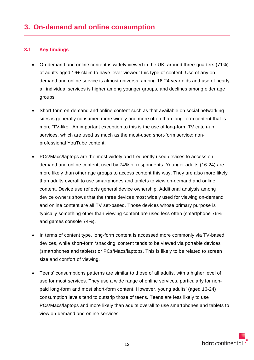#### <span id="page-14-1"></span><span id="page-14-0"></span>**3.1 Key findings**

- On-demand and online content is widely viewed in the UK; around three-quarters (71%) of adults aged 16+ claim to have 'ever viewed' this type of content. Use of any ondemand and online service is almost universal among 16-24 year olds and use of nearly all individual services is higher among younger groups, and declines among older age groups.
- Short-form on-demand and online content such as that available on social networking sites is generally consumed more widely and more often than long-form content that is more 'TV-like'. An important exception to this is the use of long-form TV catch-up services, which are used as much as the most-used short-form service: nonprofessional YouTube content.
- PCs/Macs/laptops are the most widely and frequently used devices to access ondemand and online content, used by 74% of respondents. Younger adults (16-24) are more likely than other age groups to access content this way. They are also more likely than adults overall to use smartphones and tablets to view on-demand and online content. Device use reflects general device ownership. Additional analysis among device owners shows that the three devices most widely used for viewing on-demand and online content are all TV set-based. Those devices whose primary purpose is typically something other than viewing content are used less often (smartphone 76% and games console 74%).
- In terms of content type, long-form content is accessed more commonly via TV-based devices, while short-form 'snacking' content tends to be viewed via portable devices (smartphones and tablets) or PCs/Macs/laptops. This is likely to be related to screen size and comfort of viewing.
- Teens' consumptions patterns are similar to those of all adults, with a higher level of use for most services. They use a wide range of online services, particularly for nonpaid long-form and most short-form content. However, young adults' (aged 16-24) consumption levels tend to outstrip those of teens. Teens are less likely to use PCs/Macs/laptops and more likely than adults overall to use smartphones and tablets to view on-demand and online services.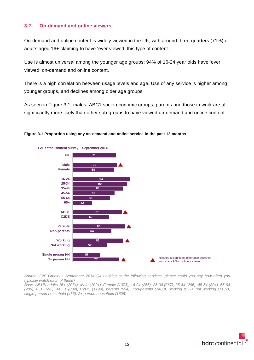#### <span id="page-15-0"></span>**3.2 On-demand and online viewers**

On-demand and online content is widely viewed in the UK, with around three-quarters (71%) of adults aged 16+ claiming to have 'ever viewed' this type of content.

Use is almost universal among the younger age groups: 94% of 16-24 year olds have 'ever viewed' on-demand and online content.

There is a high correlation between usage levels and age. Use of any service is higher among younger groups, and declines among older age groups.

As seen in [Figure 3.1,](#page-15-1) males, ABC1 socio-economic groups, parents and those in work are all significantly more likely than other sub-groups to have viewed on-demand and online content.



#### <span id="page-15-1"></span>**Figure 3.1 Proportion using any on-demand and online service in the past 12 months**

*Source: F2F Omnibus September 2014 Q4 Looking at the following services, please could you say how often you typically watch each of these?*

*Base: All UK adults 16+ (2074), Male (1001), Female (1073), 16-24 (265), 25-34 (367), 35-44 (296), 45-54 (304), 55-64 (280), 65+ (562), ABC1 (884), C2DE (1190), parents (594), non-parents (1480), working (937), not working (1137), single person household (466), 2+ person household (1608)*

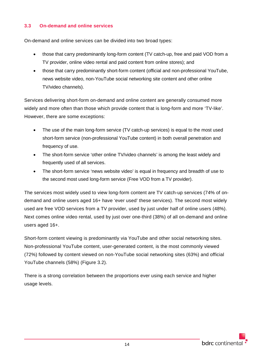#### <span id="page-16-0"></span>**3.3 On-demand and online services**

On-demand and online services can be divided into two broad types:

- those that carry predominantly long-form content (TV catch-up, free and paid VOD from a TV provider, online video rental and paid content from online stores); and
- those that carry predominantly short-form content (official and non-professional YouTube, news website video, non-YouTube social networking site content and other online TV/video channels).

Services delivering short-form on-demand and online content are generally consumed more widely and more often than those which provide content that is long-form and more 'TV-like'. However, there are some exceptions:

- The use of the main long-form service (TV catch-up services) is equal to the most used short-form service (non-professional YouTube content) in both overall penetration and frequency of use.
- The short-form service 'other online TV/video channels' is among the least widely and frequently used of all services.
- The short-form service 'news website video' is equal in frequency and breadth of use to the second most used long-form service (Free VOD from a TV provider).

The services most widely used to view long-form content are TV catch-up services (74% of ondemand and online users aged 16+ have 'ever used' these services). The second most widely used are free VOD services from a TV provider, used by just under half of online users (48%). Next comes online video rental, used by just over one-third (38%) of all on-demand and online users aged 16+.

Short-form content viewing is predominantly via YouTube and other social networking sites. Non-professional YouTube content, user-generated content, is the most commonly viewed (72%) followed by content viewed on non-YouTube social networking sites (63%) and official YouTube channels (58%) [\(Figure 3.2\)](#page-17-0).

There is a strong correlation between the proportions ever using each service and higher usage levels.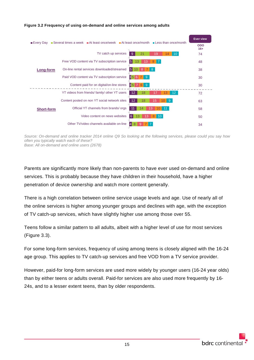

#### <span id="page-17-0"></span>**Figure 3.2 Frequency of using on-demand and online services among adults**

*Source: On-demand and online tracker 2014 online Q9 So looking at the following services, please could you say how often you typically watch each of these? Base: All on-demand and online users (2678)*

Parents are significantly more likely than non-parents to have ever used on-demand and online services. This is probably because they have children in their household, have a higher penetration of device ownership and watch more content generally.

There is a high correlation between online service usage levels and age. Use of nearly all of the online services is higher among younger groups and declines with age, with the exception of TV catch-up services, which have slightly higher use among those over 55.

Teens follow a similar pattern to all adults, albeit with a higher level of use for most services [\(Figure 3.3\)](#page-18-0).

For some long-form services, frequency of using among teens is closely aligned with the 16-24 age group. This applies to TV catch-up services and free VOD from a TV service provider.

However, paid-for long-form services are used more widely by younger users (16-24 year olds) than by either teens or adults overall. Paid-for services are also used more frequently by 16- 24s, and to a lesser extent teens, than by older respondents.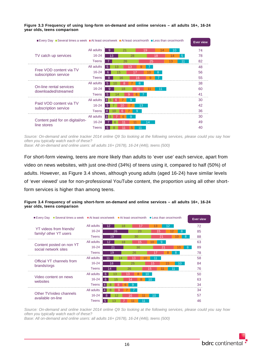| <b>■ Every Day ■ Several times a week ■ At least once/week ■ At least once/month ■ Less than once/month</b> |              |                                  |                     |    |    |    |             | <b>Ever view</b> |
|-------------------------------------------------------------------------------------------------------------|--------------|----------------------------------|---------------------|----|----|----|-------------|------------------|
|                                                                                                             | All adults   | 9                                | 21                  | 19 | 14 | 10 |             | 74               |
| TV catch up services                                                                                        | $16 - 24$    | 13                               | 28                  |    | 18 | 14 | $5^{\circ}$ | 78               |
|                                                                                                             | <b>Teens</b> |                                  | 26                  | 25 |    | 13 |             | 82               |
|                                                                                                             | All adults   | 5 <sup>1</sup><br>13             | 13                  |    |    |    |             | 48               |
| Free VOD content via TV<br>subscription service                                                             | $16 - 24$    | 6<br>15                          |                     | 10 | 8  |    |             | 56               |
|                                                                                                             | <b>Teens</b> | 8                                | 16                  | 16 |    |    |             | 55               |
|                                                                                                             | All adults   | 5                                | 8                   | 8  |    |    |             | 38               |
| On-line rental services<br>downloaded/streamed                                                              | $16 - 24$    | 9                                | 18                  |    | 11 |    |             | 60               |
|                                                                                                             | <b>Teens</b> | 5 <sup>5</sup><br>$\overline{4}$ |                     |    |    |    |             | 41               |
|                                                                                                             | All adults   | 3 5<br>6                         | 9                   |    |    |    |             | 30               |
| Paid VOD content via TV<br>subscription service                                                             | $16 - 24$    | 5                                |                     | 13 |    |    |             | 42               |
|                                                                                                             | <b>Teens</b> |                                  |                     |    |    |    |             | 36               |
|                                                                                                             | All adults   | $3 \overline{5}$                 | 6<br>$\overline{9}$ |    |    |    |             | 30               |
| Content paid for on digital/on-<br>line stores                                                              | $16 - 24$    |                                  |                     | 14 |    |    |             | 49               |
|                                                                                                             | <b>Teens</b> | 8<br>5                           |                     |    |    |    |             | 40               |

<span id="page-18-0"></span>**Figure 3.3 Frequency of using long-form on-demand and online services – all adults 16+, 16-24 year olds, teens comparison**

*Source: On-demand and online tracker 2014 online Q9 So looking at the following services, please could you say how often you typically watch each of these? Base: All on-demand and online users: all adults 16+ (2678), 16-24 (446), teens (500)*

For short-form viewing, teens are more likely than adults to 'ever use' each service, apart from video on news websites, with just one-third (34%) of teens using it, compared to half (50%) of adults. However, as [Figure 3.4](#page-18-1) shows, although young adults (aged 16-24) have similar levels of 'ever viewed' use for non-professional YouTube content, the proportion using all other shortform services is higher than among teens.

| <b>Every Day</b>                                  |              |                 |    |          | ■ Several times a week ■ At least once/week ■ At least once/month ■ Less than once/month |    |                 | <b>Ever view</b> |    |
|---------------------------------------------------|--------------|-----------------|----|----------|------------------------------------------------------------------------------------------|----|-----------------|------------------|----|
|                                                   | All adults   | $\overline{12}$ | 18 | 17       | 13                                                                                       |    | 12 <sup>2</sup> |                  | 72 |
| YT videos from friends/<br>family/ other YT users | $16 - 24$    | 26              |    | 23       |                                                                                          | 15 |                 | 8                | 85 |
|                                                   | <b>Teens</b> | 19              |    | 30       |                                                                                          | 21 |                 | 8                | 88 |
|                                                   | All adults   | 12 <sup>2</sup> | 18 | 15       | $\Box$                                                                                   | 9  |                 |                  | 63 |
| Content posted on non YT<br>social network sites  | $16 - 24$    | 21              |    | 30       |                                                                                          | 21 |                 | 8<br>10          | 89 |
|                                                   | <b>Teens</b> | 19              |    | 26       |                                                                                          |    | 8               |                  | 78 |
|                                                   | All adults   |                 | 14 | 13       | 11                                                                                       |    |                 |                  | 58 |
| Official YT channels from                         | $16 - 24$    | 18              |    | 25       | 15                                                                                       |    | 15              | 10 <sup>°</sup>  | 84 |
| brands/orgs                                       | <b>Teens</b> | 14              |    | 26       | 15                                                                                       |    |                 |                  | 76 |
|                                                   | All adults   | 13<br>6         |    | 13       | 10 <sup>1</sup>                                                                          |    |                 |                  | 50 |
| Video content on news<br>websites                 | $16 - 24$    | 6               | 15 | 14       | 10                                                                                       |    |                 |                  | 63 |
|                                                   | <b>Teens</b> | 8               | 8  | 9        |                                                                                          |    |                 |                  | 34 |
|                                                   | All adults   | 8               | 9  |          |                                                                                          |    |                 |                  | 34 |
| Other TV/video channels                           | $16 - 24$    | 8               |    | 16       | 10                                                                                       |    |                 |                  | 57 |
| available on-line                                 | <b>Teens</b> | 5<br>13         |    | 11<br>11 |                                                                                          |    |                 |                  | 46 |

<span id="page-18-1"></span>**Figure 3.4 Frequency of using short-form on-demand and online services – all adults 16+, 16-24 year olds, teens comparison**

*Source: On-demand and online tracker 2014 online Q9 So looking at the following services, please could you say how often you typically watch each of these?*

*Base: All on-demand and online users: all adults 16+ (2678), 16-24 (446), teens (500)*

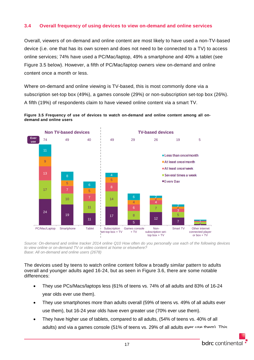#### <span id="page-19-0"></span>**3.4 Overall frequency of using devices to view on-demand and online services**

Overall, viewers of on-demand and online content are most likely to have used a non-TV-based device (i.e. one that has its own screen and does not need to be connected to a TV) to access online services; 74% have used a PC/Mac/laptop, 49% a smartphone and 40% a tablet (see [Figure 3.5](#page-19-1) below). However, a fifth of PC/Mac/laptop owners view on-demand and online content once a month or less.

Where on-demand and online viewing is TV-based, this is most commonly done via a subscription set-top box (49%), a games console (29%) or non-subscription set-top box (26%). A fifth (19%) of respondents claim to have viewed online content via a smart TV.

<span id="page-19-1"></span>



*Source: On-demand and online tracker 2014 online Q10 How often do you personally use each of the following devices to view online or on-demand TV or video content at home or elsewhere? Base: All on-demand and online users (2678)*

The devices used by teens to watch online content follow a broadly similar pattern to adults overall and younger adults aged 16-24, but as seen in Figure 3.6, there are some notable differences:

- They use PCs/Macs/laptops less (61% of teens vs. 74% of all adults and 83% of 16-24 year olds ever use them).
- They use smartphones more than adults overall (59% of teens vs. 49% of all adults ever use them), but 16-24 year olds have even greater use (70% ever use them).
- They have higher use of tablets, compared to all adults, (54% of teens vs. 40% of all adults) and via a games console (51% of teens vs. 29% of all adults ever use them). This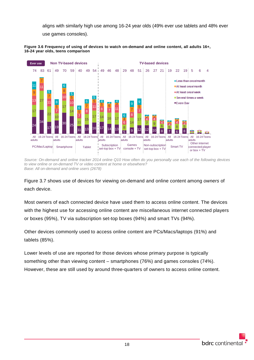aligns with similarly high use among 16-24 year olds (49% ever use tablets and 48% ever use games consoles).





*Source: On-demand and online tracker 2014 online Q10 How often do you personally use each of the following devices to view online or on-demand TV or video content at home or elsewhere? Base: All on-demand and online users (2678)*

[Figure 3.7](#page-20-0) shows use of devices for viewing on-demand and online content among *owners* of each device.

Most owners of each connected device have used them to access online content. The devices with the highest use for accessing online content are miscellaneous internet connected players or boxes (95%), TV via subscription set-top boxes (94%) and smart TVs (94%).

Other devices commonly used to access online content are PCs/Macs/laptops (91%) and tablets (85%).

<span id="page-20-0"></span>Lower levels of use are reported for those devices whose primary purpose is typically something other than viewing content – smartphones (76%) and games consoles (74%). However, these are still used by around three-quarters of owners to access online content.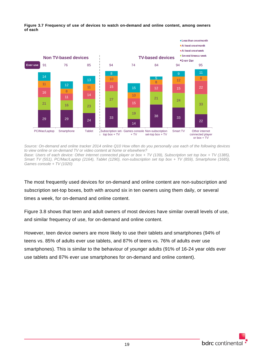

**Figure 3.7 Frequency of use of devices to watch on-demand and online content, among owners of each**

*Source: On-demand and online tracker 2014 online Q10 How often do you personally use each of the following devices to view online or on-demand TV or video content at home or elsewhere?*

*Base: Users of each device: Other internet connected player or box + TV (139), Subscription set top box + TV (1385), Smart TV (551), PC/Mac/Laptop (2164), Tablet (1290), non-subscription set top box + TV (859), Smartphone (1685), Games console + TV (1020)*

The most frequently used devices for on-demand and online content are non-subscription and subscription set-top boxes, both with around six in ten owners using them daily, or several times a week, for on-demand and online content.

[Figure 3.8](#page-21-0) shows that teen and adult owners of most devices have similar overall levels of use, and similar frequency of use, for on-demand and online content.

<span id="page-21-0"></span>However, teen device owners are more likely to use their tablets and smartphones (94% of teens vs. 85% of adults ever use tablets, and 87% of teens vs. 76% of adults ever use smartphones). This is similar to the behaviour of younger adults (91% of 16-24 year olds ever use tablets and 87% ever use smartphones for on-demand and online content).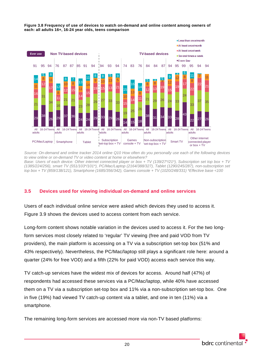

**Figure 3.8 Frequency of use of devices to watch on-demand and online content among owners of each: all adults 16+, 16-24 year olds, teens comparison**

*Source: On-demand and online tracker 2014 online Q10 How often do you personally use each of the following devices to view online or on-demand TV or video content at home or elsewhere? Base: Users of each device: Other internet connected player or box + TV (139/27\*/21\*), Subscription set top box + TV (1385/224/256), smart TV (551/103\*/101\*), PC/Mac/Laptop (2164/388/327), Tablet (1290/245/287), non-subscription set top box + TV (859/138/121), Smartphone (1685/356/342), Games console + TV (1020/248/331) \*Effective base <100*

#### <span id="page-22-0"></span>**3.5 Devices used for viewing individual on-demand and online services**

Users of each individual online service were asked which devices they used to access it. [Figure 3.9](#page-23-0) shows the devices used to access content from each service.

Long-form content shows notable variation in the devices used to access it. For the two longform services most closely related to 'regular' TV viewing (free and paid VOD from TV providers), the main platform is accessing on a TV via a subscription set-top box (51% and 43% respectively). Nevertheless, the PC/Mac/laptop still plays a significant role here: around a quarter (24% for free VOD) and a fifth (22% for paid VOD) access each service this way.

TV catch-up services have the widest mix of devices for access. Around half (47%) of respondents had accessed these services via a PC/Mac/laptop, while 40% have accessed them on a TV via a subscription set-top box and 11% via a non-subscription set-top box. One in five (19%) had viewed TV catch-up content via a tablet, and one in ten (11%) via a smartphone.

The remaining long-form services are accessed more via non-TV based platforms: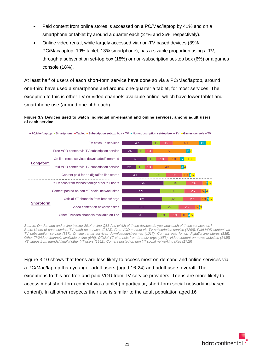- Paid content from online stores is accessed on a PC/Mac/laptop by 41% and on a smartphone or tablet by around a quarter each (27% and 25% respectively).
- Online video rental, while largely accessed via non-TV based devices (39% PC/Mac/laptop, 19% tablet, 13% smartphone), has a sizable proportion using a TV, through a subscription set-top box (18%) or non-subscription set-top box (6%) or a games console (18%).

At least half of users of each short-form service have done so via a PC/Mac/laptop, around one-third have used a smartphone and around one-quarter a tablet, for most services. The exception to this is other TV or video channels available online, which have lower tablet and smartphone use (around one-fifth each).

#### <span id="page-23-0"></span>**Figure 3.9 Devices used to watch individual on-demand and online services, among adult users of each service**



*Source: On-demand and online tracker 2014 online Q11 And which of these devices do you view each of these services on? Base: Users of each service: TV catch up services (2128), Free VOD content via TV subscription service (1298), Paid VOD content via TV subscription service (837), On-line rental services downloaded/streamed (1017), Content paid for on digital/online stores (835), Other TV/video channels available online (946), Official YT channels from brands/ orgs (1653), Video content on news websites (1435) YT videos from friends/ family/ other YT users (1952), Content posted on non YT social networking sites (1715)*

[Figure 3.10](#page-24-0) shows that teens are less likely to access most on-demand and online services via a PC/Mac/laptop than younger adult users (aged 16-24) and adult users overall. The exceptions to this are free and paid VOD from TV service providers. Teens are more likely to access most short-form content via a tablet (in particular, short-form social networking-based content). In all other respects their use is similar to the adult population aged 16+.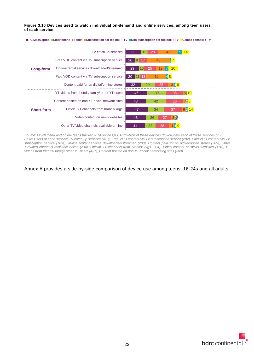<span id="page-24-0"></span>**Figure 3.10 Devices used to watch individual on-demand and online services, among teen users of each service**



**PC/Mac/Laptop Smartphone Tablet Subscription set-top box + TV Non-subscription set-top box + TV Games console + TV** 

*Source: On-demand and online teens tracker 2014 online Q11 And which of these devices do you view each of these services on?* Base: Users of each service: TV catch up services (418), Free VOD content via TV subscription service (282), Paid VOD content via TV *subscription service (183), On-line rental services downloaded/streamed (208), Content paid for on digital/online stores (205), Other TV/video channels available online (234), Official YT channels from brands/ orgs (384), Video content on news websites (176), YT videos from friends/ family/ other YT users (437), Content posted on non YT social networking sites (389)*

Annex A provides a side-by-side comparison of device use among teens, 16-24s and all adults.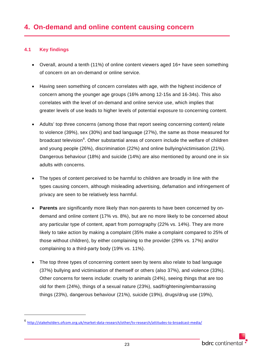#### <span id="page-25-1"></span><span id="page-25-0"></span>**4.1 Key findings**

-

- Overall, around a tenth (11%) of online content viewers aged 16+ have seen something of concern on an on-demand or online service.
- Having seen something of concern correlates with age, with the highest incidence of concern among the younger age groups (16% among 12-15s and 16-34s). This also correlates with the level of on-demand and online service use, which implies that greater levels of use leads to higher levels of potential exposure to concerning content.
- Adults' top three concerns (among those that report seeing concerning content) relate to violence (39%), sex (30%) and bad language (27%), the same as those measured for broadcast television<sup>[6](#page-25-2)</sup>. Other substantial areas of concern include the welfare of children and young people (26%), discrimination (22%) and online bullying/victimisation (21%). Dangerous behaviour (18%) and suicide (14%) are also mentioned by around one in six adults with concerns.
- The types of content perceived to be harmful to children are broadly in line with the types causing concern, although misleading advertising, defamation and infringement of privacy are seen to be relatively less harmful.
- **Parents** are significantly more likely than non-parents to have been concerned by ondemand and online content (17% vs. 8%), but are no more likely to be concerned about any particular type of content, apart from pornography (22% vs. 14%). They are more likely to take action by making a complaint (35% make a complaint compared to 25% of those without children), by either complaining to the provider (29% vs. 17%) and/or complaining to a third-party body (19% vs. 11%).
- The top three types of concerning content seen by teens also relate to bad language (37%) bullying and victimisation of themself or others (also 37%), and violence (33%). Other concerns for teens include: cruelty to animals (24%), seeing things that are too old for them (24%), things of a sexual nature (23%), sad/frightening/embarrassing things (23%), dangerous behaviour (21%), suicide (19%), drugs/drug use (19%),

<span id="page-25-2"></span><sup>6</sup> <http://stakeholders.ofcom.org.uk/market-data-research/other/tv-research/attitudes-to-broadcast-media/>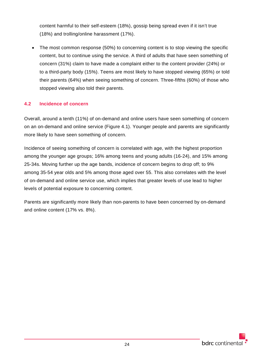content harmful to their self-esteem (18%), gossip being spread even if it isn't true (18%) and trolling/online harassment (17%).

• The most common response (50%) to concerning content is to stop viewing the specific content, but to continue using the service. A third of adults that have seen something of concern (31%) claim to have made a complaint either to the content provider (24%) or to a third-party body (15%). Teens are most likely to have stopped viewing (65%) or told their parents (64%) when seeing something of concern. Three-fifths (60%) of those who stopped viewing also told their parents.

#### <span id="page-26-0"></span>**4.2 Incidence of concern**

Overall, around a tenth (11%) of on-demand and online users have seen something of concern on an on-demand and online service (Figure 4.1). Younger people and parents are significantly more likely to have seen something of concern.

Incidence of seeing something of concern is correlated with age, with the highest proportion among the younger age groups; 16% among teens and young adults (16-24), and 15% among 25-34s. Moving further up the age bands, incidence of concern begins to drop off; to 9% among 35-54 year olds and 5% among those aged over 55. This also correlates with the level of on-demand and online service use, which implies that greater levels of use lead to higher levels of potential exposure to concerning content.

Parents are significantly more likely than non-parents to have been concerned by on-demand and online content (17% vs. 8%).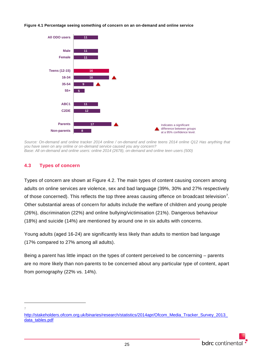#### **Figure 4.1 Percentage seeing something of concern on an on-demand and online service**



*Source: On-demand and online tracker 2014 online / on-demand and online teens 2014 online Q12 Has anything that you have seen on any online or on-demand service caused you any concern? Base: All on-demand and online users: online 2014 (2678), on-demand and online teen users (500)*

#### <span id="page-27-0"></span>**4.3 Types of concern**

Types of concern are shown at Figure 4.2. The main types of content causing concern among adults on online services are violence, sex and bad language (39%, 30% and 27% respectively of those concerned). This reflects the top three areas causing offence on broadcast television<sup>[7](#page-27-1)</sup>. Other substantial areas of concern for adults include the welfare of children and young people (26%), discrimination (22%) and online bullying/victimisation (21%). Dangerous behaviour (18%) and suicide (14%) are mentioned by around one in six adults with concerns.

Young adults (aged 16-24) are significantly less likely than adults to mention bad language (17% compared to 27% among all adults).

Being a parent has little impact on the types of content perceived to be concerning – parents are no more likely than non-parents to be concerned about any particular type of content, apart from pornography (22% vs. 14%).

<sup>7</sup>  $\overline{a}$ 

<span id="page-27-1"></span>http://stakeholders.ofcom.org.uk/binaries/research/statistics/2014apr/Ofcom\_Media\_Tracker\_Survey\_2013 [data\\_tables.pdf](http://stakeholders.ofcom.org.uk/binaries/research/statistics/2014apr/Ofcom_Media_Tracker_Survey_2013_data_tables.pdf)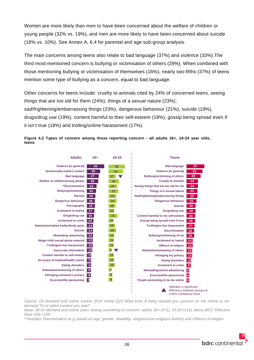Women are more likely than men to have been concerned about the welfare of children or young people (32% vs. 19%), and men are more likely to have been concerned about suicide (18% vs. 10%). See Annex A, 6.4 for parental and age sub-group analysis.

The main concerns among teens also relate to bad language (37%) and violence (33%).The third most-mentioned concern is bullying or victimisation of others (29%). When combined with those mentioning bullying or victimisation of themselves (16%), nearly two-fifths (37%) of teens mention some type of bullying as a concern, equal to bad language.

Other concerns for teens include: cruelty to animals cited by 24% of concerned teens, seeing things that are too old for them (24%), things of a sexual nature (23%), sad/frightening/embarrassing things (23%), dangerous behaviour (21%), suicide (19%), drugs/drug use (19%), content harmful to their self-esteem (18%), gossip being spread even if it isn't true (18%) and trolling/online harassment (17%).





*Source: On-demand and online tracker 2014 online Q13 What kind of thing caused you concern on the online or ondemand TV or video content you saw?*

*Base: All on-demand and online users seeing something of concern: adults 16+ (471), 16-24 (114), teens (85\*) \*Effective base size <100*

*\*\*Includes Discrimination (e.g. based on age, gender, disability, religious/non-religious beliefs) and Offence of religion*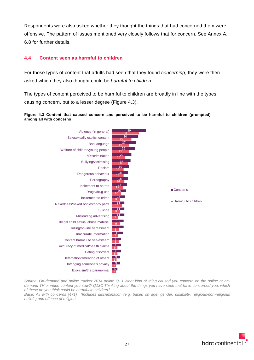Respondents were also asked whether they thought the things that had concerned them were offensive. The pattern of issues mentioned very closely follows that for concern. See Annex A, 6.8 for further details.

#### <span id="page-29-0"></span>**4.4 Content seen as harmful to children**

For those types of content that adults had seen that they found *concerning*, they were then asked which they also thought could be *harmful to children.*

The types of content perceived to be harmful to children are broadly in line with the types causing concern, but to a lesser degree [\(Figure 4.3\)](#page-29-1).

#### <span id="page-29-1"></span>**Figure 4.3 Content that caused concern and perceived to be harmful to children (prompted) among all with concerns**



*Source: On-demand and online tracker 2014 online Q13 What kind of thing caused you concern on the online or ondemand TV or video content you saw?/ Q13C Thinking about the things you have seen that have concerned you, which of these do you think could be harmful to children?*

*Base: All with concerns (471) \*Includes discrimination (e.g. based on age, gender, disability, religious/non-religious beliefs) and offence of religion*

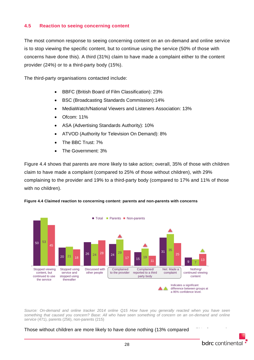#### <span id="page-30-0"></span>**4.5 Reaction to seeing concerning content**

The most common response to seeing concerning content on an on-demand and online service is to stop viewing the specific content, but to continue using the service (50% of those with concerns have done this). A third (31%) claim to have made a complaint either to the content provider (24%) or to a third-party body (15%).

The third-party organisations contacted include:

- BBFC (British Board of Film Classification): 23%
- BSC (Broadcasting Standards Commission):14%
- MediaWatch/National Viewers and Listeners Association: 13%
- Ofcom: 11%
- ASA (Advertising Standards Authority): 10%
- ATVOD (Authority for Television On Demand): 8%
- The BBC Trust: 7%
- The Government: 3%

[Figure 4.4](#page-30-1) shows that parents are more likely to take action; overall, 35% of those with children claim to have made a complaint (compared to 25% of those without children), with 29% complaining to the provider and 19% to a third-party body (compared to 17% and 11% of those with no children).

<span id="page-30-1"></span>



*Source: On-demand and online tracker 2014 online Q15 How have you generally reacted when you have seen something that caused you concern? Base: All who have seen something of concern on an on-demand and online service* (471), parents (256), non-parents (215)

Those without children are more likely to have done nothing (13% compared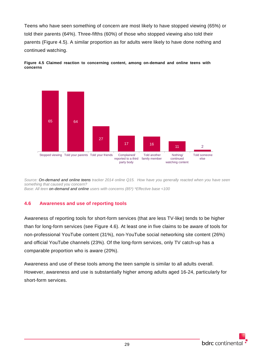Teens who have seen something of concern are most likely to have stopped viewing (65%) or told their parents (64%). Three-fifths (60%) of those who stopped viewing also told their parents [\(Figure 4.5\)](#page-31-1). A similar proportion as for adults were likely to have done nothing and continued watching.

<span id="page-31-1"></span>



*Source: On-demand and online teens tracker 2014 online Q15. How have you generally reacted when you have seen something that caused you concern? Base: All teen on-demand and online users with concerns (85\*) \*Effective base <100*

#### <span id="page-31-0"></span>**4.6 Awareness and use of reporting tools**

Awareness of reporting tools for short-form services (that are less TV-like) tends to be higher than for long-form services (see Figure 4.6). At least one in five claims to be aware of tools for non-professional YouTube content (31%), non-YouTube social networking site content (26%) and official YouTube channels (23%). Of the long-form services, only TV catch-up has a comparable proportion who is aware (20%).

Awareness and use of these tools among the teen sample is similar to all adults overall. However, awareness and use is substantially higher among adults aged 16-24, particularly for short-form services.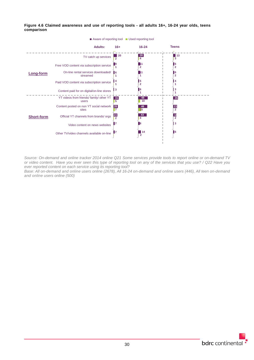

**Figure 4.6 Claimed awareness and use of reporting tools - all adults 16+, 16-24 year olds, teens comparison**

*Source: On-demand and online tracker 2014 online Q21 Some services provide tools to report online or on-demand TV or video content. Have you ever seen this type of reporting tool on any of the services that you use? / Q22 Have you ever reported content on each service using its reporting tool?*

*Base: All on-demand and online users online (2678), All 16-24 on-demand and online users (446), All teen on-demand and online users online (500)*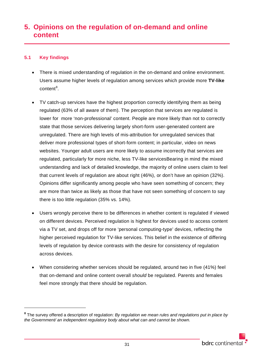## <span id="page-33-0"></span>**5. Opinions on the regulation of on-demand and online content**

#### <span id="page-33-1"></span>**5.1 Key findings**

 $\overline{a}$ 

- There is mixed understanding of regulation in the on-demand and online environment. Users assume higher levels of regulation among services which provide more **TV-like** content<sup>[8](#page-33-2)</sup>.
- TV catch-up services have the highest proportion correctly identifying them as being regulated (63% of all aware of them). The perception that services are regulated is lower for more 'non-professional' content. People are more likely than not to correctly state that those services delivering largely short-form user-generated content are unregulated. There are high levels of mis-attribution for unregulated services that deliver more professional types of short-form content; in particular, video on news websites. Younger adult users are more likely to assume incorrectly that services are regulated, particularly for more niche, less TV-like servicesBearing in mind the mixed understanding and lack of detailed knowledge, the majority of online users claim to feel that current levels of regulation are about right (46%), or don't have an opinion (32%). Opinions differ significantly among people who have seen something of concern; they are more than twice as likely as those that have not seen something of concern to say there is too little regulation (35% vs. 14%).
- Users wrongly perceive there to be differences in whether content is regulated if viewed on different devices. Perceived regulation is highest for devices used to access content via a TV set, and drops off for more 'personal computing-type' devices, reflecting the higher perceived regulation for TV-like services. This belief in the existence of differing levels of regulation by device contrasts with the desire for consistency of regulation across devices.
- When considering whether services should be regulated, around two in five (41%) feel that on-demand and online content overall *should* be regulated. Parents and females feel more strongly that there should be regulation.

<span id="page-33-2"></span>**<sup>8</sup>** The survey offered a description of regulation: *By regulation we mean rules and regulations put in place by the Government/ an independent regulatory body about what can and cannot be shown.*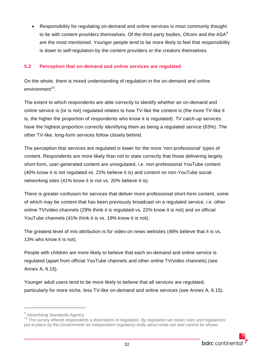• Responsibility for regulating on-demand and online services is most commonly thought to lie with content providers themselves. Of the third-party bodies, Ofcom and the ASA<sup>[9](#page-34-1)</sup> are the most mentioned. Younger people tend to be more likely to feel that responsibility is down to self-regulation by the content providers or the creators themselves.

#### <span id="page-34-0"></span>**5.2 Perception that on-demand and online services are regulated**

On the whole, there is mixed understanding of regulation in the on-demand and online  $environment<sup>10</sup>$ .

The extent to which respondents are able correctly to identify whether an on-demand and online service is (or is not) regulated relates to how TV-like the content is (the more TV-like it is, the higher the proportion of respondents who know it is regulated). TV catch-up services have the highest proportion correctly identifying them as being a regulated service (63%). The other TV-like, long-form services follow closely behind.

The perception that services are regulated is lower for the more 'non-professional' types of content. Respondents are more likely than not to state correctly that those delivering largely short-form, user-generated content are unregulated, i.e. non-professional YouTube content (40% know it is not regulated vs. 22% believe it is) and content on non-YouTube social networking sites (41% know it is not vs. 20% believe it is).

There is greater confusion for services that deliver more professional short-form content, some of which may be content that has been previously broadcast on a regulated service, i.e. other online TV/video channels (29% think it is regulated vs. 22% know it is not) and on official YouTube channels (41% think it is vs. 19% know it is not).

The greatest level of mis-attribution is for video on news websites (48% believe that it is vs. 13% who know it is not).

People with children are more likely to believe that each on-demand and online service is regulated (apart from official YouTube channels and other online TV/video channels) (see Annex A, 6.15).

Younger adult users tend to be more likely to believe that all services are regulated, particularly for more niche, less TV-like on-demand and online services (see Annex A, 6.15).

 $\overline{a}$ 

<span id="page-34-1"></span><sup>&</sup>lt;sup>9</sup> Advertising Standards Agency

<span id="page-34-2"></span><sup>10</sup> The survey offered respondents a description of regulation: *By regulation we mean rules and regulations put in place by the Government/ an independent regulatory body about what can and cannot be shown.*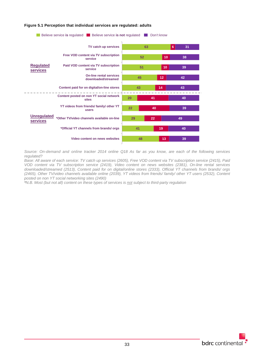

#### **Figure 5.1 Perception that individual services are regulated: adults**

*Source: On-demand and online tracker 2014 online Q18 As far as you know, are each of the following services regulated?*

*Base: All aware of each service: TV catch up services (2605), Free VOD content via TV subscription service (2415), Paid VOD content via TV subscription service (2419), Video content on news websites (2381), On-line rental services downloaded/streamed (2513), Content paid for on digital/online stores (2333), Official YT channels from brands/ orgs (2465), Other TV/video channels available online (2039), YT videos from friends/ family/ other YT users (2532), Content posted on non YT social networking sites (2490)* 

*\*N.B. Most (but not all) content on these types of services is not subject to third-party regulation*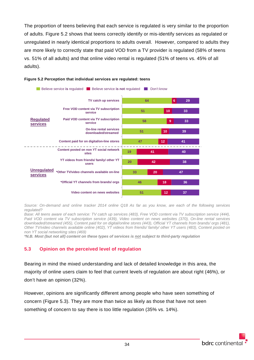The proportion of teens believing that each service is regulated is very similar to the proportion of adults. [Figure 5.2](#page-36-0) shows that teens correctly identify or mis-identify services as regulated or unregulated in nearly identical proportions to adults overall. However, compared to adults they are more likely to correctly state that paid VOD from a TV provider is regulated (58% of teens vs. 51% of all adults) and that online video rental is regulated (51% of teens vs. 45% of all adults).



#### <span id="page-36-0"></span>**Figure 5.2 Perception that individual services are regulated: teens**

*Source: On-demand and online tracker 2014 online Q18 As far as you know, are each of the following services regulated?*

Base: All teens aware of each service: TV catch up services (483), Free VOD content via TV subscription service (444), *Paid VOD content via TV subscription service (439), Video content on news websites (370), On-line rental services downloaded/streamed (455), Content paid for on digital/online stores (443), Official YT channels from brands/ orgs (481), Other TV/video channels available online (402), YT videos from friends/ family/ other YT users (483), Content posted on non YT social networking sites (469)* 

*\*N.B. Most (but not all) content on these types of services is not subject to third-party regulation*

# **5.3 Opinion on the perceived level of regulation**

Bearing in mind the mixed understanding and lack of detailed knowledge in this area, the majority of online users claim to feel that current levels of regulation are about right (46%), or don't have an opinion (32%).

However, opinions are significantly different among people who have seen something of concern [\(Figure 5.3\)](#page-37-0). They are more than twice as likely as those that have not seen something of concern to say there is too little regulation (35% vs. 14%).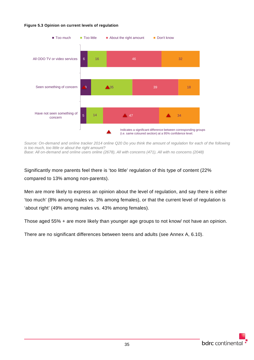### <span id="page-37-0"></span>**Figure 5.3 Opinion on current levels of regulation**



*Source: On-demand and online tracker 2014 online Q20 Do you think the amount of regulation for each of the following is too much, too little or about the right amount? Base: All on-demand and online users online (2678), All with concerns (471), All with no concerns (2048)*

Significantly more parents feel there is 'too little' regulation of this type of content (22% compared to 13% among non-parents).

Men are more likely to express an opinion about the level of regulation, and say there is either 'too much' (8% among males vs. 3% among females), or that the current level of regulation is 'about right' (49% among males vs. 43% among females).

Those aged 55% + are more likely than younger age groups to not know/ not have an opinion.

There are no significant differences between teens and adults (see Annex A, 6.10).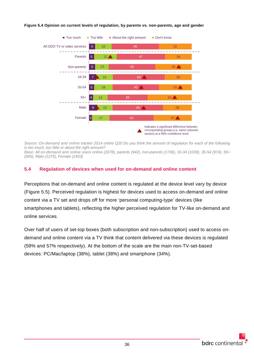

#### **Figure 5.4 Opinion on current levels of regulation, by parents vs. non-parents, age and gender**

*Source: On-demand and online tracker 2014 online Q20 Do you think the amount of regulation for each of the following is too much, too little or about the right amount? Base: All on-demand and online users online (2678), parents (942), non-parents (1736), 16-34 (1039), 35-54 (974), 55+ (665), Male (1275), Female (1403)*

# **5.4 Regulation of devices when used for on-demand and online content**

Perceptions that on-demand and online content is regulated at the device level vary by device (Figure 5.5). Perceived regulation is highest for devices used to access on-demand and online content via a TV set and drops off for more 'personal computing-type' devices (like smartphones and tablets), reflecting the higher perceived regulation for TV-like on-demand and online services.

Over half of users of set-top boxes (both subscription and non-subscription) used to access ondemand and online content via a TV think that content delivered via these devices is regulated (59% and 57% respectively). At the bottom of the scale are the main non-TV-set-based devices: PC/Mac/laptop (38%), tablet (38%) and smartphone (34%).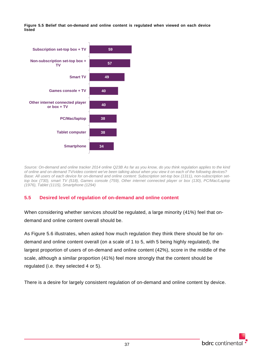**Figure 5.5 Belief that on-demand and online content is regulated when viewed on each device listed**



*Source: On-demand and online tracker 2014 online Q23B As far as you know, do you think regulation applies to the kind of online and on-demand TV/video content we've been talking about when you view it on each of the following devices? Base: All users of each device for on-demand and online content: Subscription set-top box (1311), non-subscription settop box (730), smart TV (518), Games console (759), Other internet connected player or box (130), PC/Mac/Laptop (1976), Tablet (1115), Smartphone (1294)*

# **5.5 Desired level of regulation of on-demand and online content**

When considering whether services *should* be regulated, a large minority (41%) feel that ondemand and online content overall should be.

As Figure 5.6 illustrates, when asked how much regulation they think there should be for ondemand and online content overall (on a scale of 1 to 5, with 5 being highly regulated), the largest proportion of users of on-demand and online content (42%), score in the middle of the scale, although a similar proportion (41%) feel more strongly that the content should be regulated (i.e. they selected 4 or 5).

There is a desire for largely consistent regulation of on-demand and online content by device.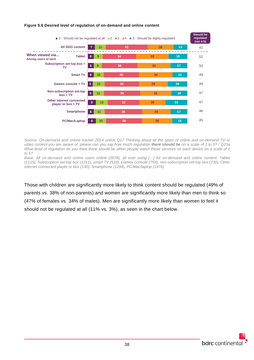

# **Figure 5.6 Desired level of regulation of on-demand and online content**

*Source: On-demand and online tracker 2014 online Q17 Thinking about all the types of online and on-demand TV or video content you are aware of, please can you say how much regulation there should be on a scale of 1 to 5? / Q23a What level of regulation do you think there should be when people watch these services on each device on a scale of 1 to 5?*

*Base: All on-demand and online users online (2678), all ever using […] for on-demand and online content: Tablet (1115), Subscription set-top box (1311), smart TV (518), Games console (759), non-subscription set-top box (730), Other internet connected player or box (130), Smartphone (1294), PC/Mac/laptop (1976)*

Those with children are significantly more likely to think content should be regulated (49% of parents vs. 38% of non-parents) and women are significantly more likely than men to think so (47% of females vs. 34% of males). Men are significantly more likely than women to feel it should not be regulated at all (11% vs. 3%), as seen in the chart below.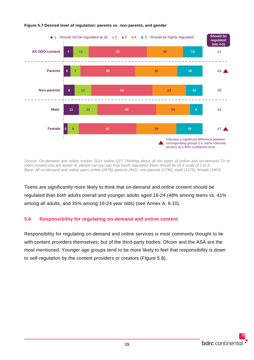

# **Figure 5.7 Desired level of regulation: parents vs. non-parents, and gender**

*Source: On-demand and online tracker 2014 online Q17 Thinking about all the types of online and on-demand TV or video content you are aware of, please can you say how much regulation there should be on a scale of 1 to 5. Base: All on-demand and online users online (2678), parents (942), non-parents (1736), male (1275), female (1403)*

Teens are significantly more likely to think that on-demand and online content should be regulated than both adults overall and younger adults aged 16-24 (48% among teens vs. 41% among all adults, and 35% among 16-24 year olds) (see Annex A, 6.10).

# **5.6 Responsibility for regulating on-demand and online content**

Responsibility for regulating on-demand and online services is most commonly thought to lie with content providers themselves; but of the third-party bodies, Ofcom and the ASA are the most mentioned. Younger age groups tend to be more likely to feel that responsibility is down to self-regulation by the content providers or creators (Figure 5.8).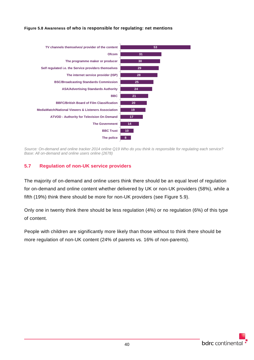



*Source: On-demand and online tracker 2014 online Q19 Who do you think is responsible for regulating each service? Base: All on-demand and online users online (2678)*

# **5.7 Regulation of non-UK service providers**

The majority of on-demand and online users think there should be an equal level of regulation for on-demand and online content whether delivered by UK or non-UK providers (58%), while a fifth (19%) think there should be more for non-UK providers (see Figure 5.9).

Only one in twenty think there should be less regulation (4%) or no regulation (6%) of this type of content.

People with children are significantly more likely than those without to think there should be more regulation of non-UK content (24% of parents vs. 16% of non-parents).

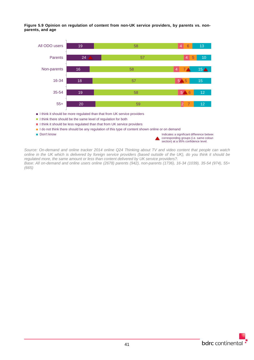**Figure 5.9 Opinion on regulation of content from non-UK service providers, by parents vs. nonparents, and age**



- I think it should be less regulated than that from UK service providers
- I do not think there should be any regulation of this type of content shown online or on demand
- 

**Don't know** Indicates a significant difference between  $\blacksquare$  Don't know corresponding groups (i.e. same colour section) at a 95% confidence level.

*Source: On-demand and online tracker 2014 online Q24 Thinking about TV and video content that people can watch online in the UK which is delivered by foreign service providers (based outside of the UK), do you think it should be regulated more, the same amount or less than content delivered by UK service providers?.*

*Base: All on-demand and online users online (2678) parents (942), non-parents (1736), 16-34 (1039), 35-54 (974), 55+ (665)*

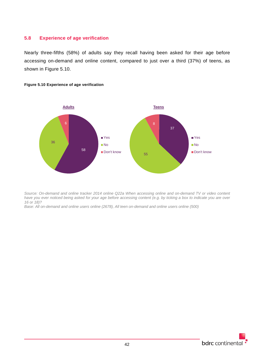# **5.8 Experience of age verification**

Nearly three-fifths (58%) of adults say they recall having been asked for their age before accessing on-demand and online content, compared to just over a third (37%) of teens, as shown in Figure 5.10.



# **Figure 5.10 Experience of age verification**

*Source: On-demand and online tracker 2014 online Q22a When accessing online and on-demand TV or video content have you ever noticed being asked for your age before accessing content (e.g. by ticking a box to indicate you are over 16 or 18)?*

*Base: All on-demand and online users online (2678), All teen on-demand and online users online (500)*

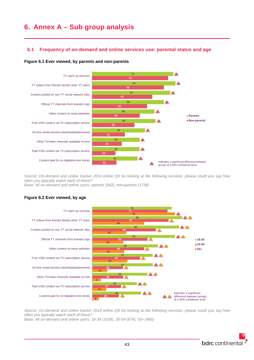# **6. Annex A – Sub group analysis**

# **6.1 Frequency of on-demand and online services use: parental status and age**

### **Figure 6.1 Ever viewed, by parents and non-parents**



*Source: On-demand and online tracker 2014 online Q9 So looking at the following services, please could you say how often you typically watch each of these? Base: All on-demand and online users: parents (942), non-parents (1736)*

# **Figure 6.2 Ever viewed, by age**



*Source: On-demand and online tracker 2014 online Q9 So looking at the following services, please could you say how often you typically watch each of these?*

*Base: All on-demand and online users: 16-34 (1039), 35-54 (974), 55+ (665)*

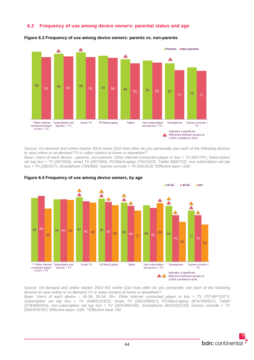# **6.2 Frequency of use among device owners: parental status and age**



#### **Figure 6.3 Frequency of use among device owners: parents vs. non-parents**

*Source: On-demand and online tracker 2014 online Q10 How often do you personally use each of the following devices to view online or on-demand TV or video content at home or elsewhere?*

*Base: Users of each device – parents, non-parents: Other internet connected player or box + TV (65\*/74\*), Subscription set top box + TV (567/818), smart TV (267/284), PC/Mac/Laptop (742/1422), Tablet (568/722), non-subscription set top box + TV (282/577), Smartphone (705/980), Games console + TV (501/519) \*Effective base <100*



#### **Figure 6.4 Frequency of use among device owners, by age**

*Source: On-demand and online tracker 2014 W1 online Q10 How often do you personally use each of the following devices to view online or on-demand TV or video content at home or elsewhere?*

*Base: Users of each device – 16-34, 35-54, 55+: Other internet connected player or box + TV (70\*/49\*\*/20\*\*), Subscription set top box + TV (548/515/322), smart TV (262/208/81\*), PC/Mac/Laptop (874/783/507), Tablet (578/458/254), non-subscription set top box + TV (324/290/245), Smartphone (821/631/233), Games console + TV (566/376/78\*) \*Effective base <100, \*\*Effective base <50*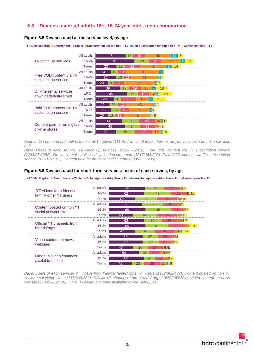# **6.3 Devices used: all adults 16+, 16-24 year olds, teens comparison**

#### **Figure 6.5 Devices used at the service level, by age**

**PC/Mac/Laptop T**Smartphone **Tablet TSubscription set-top box + TV TNon-subscription set-top box + TV Games console + TV** 



*Source: On-demand and online tracker 2014 online Q11 And which of these devices do you view each of these services on?*

*Base: Users of each service: TV catch up services (2128/375/418), Free VOD content via TV subscription service (1298/254/282), On-line rental services downloaded/streamed (1017/264/208), Paid VOD content via TV subscription service (837/187/183), Content paid for on digital/online stores (835/229/205)*

#### **Figure 6.6 Devices used for short-form services: users of each service, by age**

**PC/Mac/Laptop Smartphone Tablet Subscription set-top box + TV Non-subscription set-top box + TV Games console + TV**



*Base: Users of each service: YT videos from friends/ family/ other YT users (1952/382/437), Content posted on non YT social networking sites (1715/398/389), Official YT channels from brands/ orgs (1653/385/384), Video content on news websites (1435/289/176), Other TV/video channels available online (946/234)*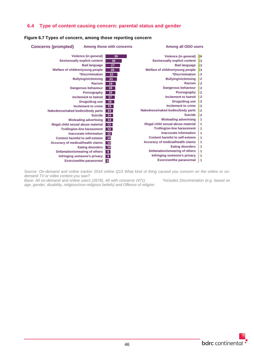# **6.4 Type of content causing concern: parental status and gender**

# **Figure 6.7 Types of concern, among those reporting concern**

| <b>Concerns (prompted)</b>               | Among those with concerns             |                  | Among all ODO users                      |      |
|------------------------------------------|---------------------------------------|------------------|------------------------------------------|------|
|                                          | Violence (in general)                 | 39               | Violence (in general)                    | $+4$ |
|                                          | Sex/sexually explicit content         | 30               | Sex/sexually explicit content            | l3   |
|                                          | <b>Bad language</b>                   | 27               | <b>Bad language</b>                      | 3    |
| Welfare of children/young people         |                                       | 26               | Welfare of children/young people         | 13   |
|                                          | *Discrimination                       | 22               | *Discrimination                          | ∦2   |
|                                          | <b>Bullying/victimising</b>           | 21               | <b>Bullying/victimising</b>              | ⊩2   |
|                                          | Racism                                | 19               | Racism                                   | ∦2   |
|                                          | Dangerous behaviour                   | 18               | <b>Dangerous behaviour</b>               | ∦2   |
|                                          | Pornography                           | 18               | Pornography                              | ∦2   |
|                                          | Incitement to hatred                  | 17 <sup>2</sup>  | <b>Incitement to hatred</b>              | ∦2   |
|                                          | Drugs/drug use                        | 16 <sup>1</sup>  | Drugs/drug use                           | ∦2   |
|                                          | Incitement to crime                   | 15 <sub>15</sub> | Incitement to crime                      | ≞2   |
| Nakedness/naked bodies/body parts        |                                       | 14               | Nakedness/naked bodies/body parts        | ∦2   |
|                                          | <b>Suicide</b>                        | 14               | <b>Suicide</b>                           | ∦2   |
|                                          | <b>Misleading advertising</b>         | 14               | <b>Misleading advertising</b>            | 1    |
| Illegal child sexual abuse material      |                                       | $+13$            | Illegal child sexual abuse material      | + 1  |
|                                          | <b>Trolling/on-line harassment</b>    | ∤ 13⊹            | <b>Trolling/on-line harassment</b>       | + 1  |
|                                          | Inaccurate information                | $+12$            | <b>Inaccurate information</b>            | ∔ 1  |
|                                          | <b>Content harmful to self-esteem</b> | - 10             | Content harmful to self-esteem           | + 1  |
| <b>Accuracy of medical/health claims</b> |                                       | $-10$            | <b>Accuracy of medical/health claims</b> | + 1  |
|                                          | <b>Eating disorders</b>               | $-10$            | <b>Eating disorders</b>                  | ∔ 1  |
|                                          | Defamation/smearing of others         | - 9              | Defamation/smearing of others            | + 1  |
|                                          | Infringing someone's privacy          | $\cdot$ 9        | Infringing someone's privacy             | $+1$ |
|                                          | <b>Exorcism/the paranormal</b>        | $+6$             | <b>Exorcism/the paranormal</b>           | $+1$ |

*Source: On-demand and online tracker 2014 online Q13 What kind of thing caused you concern on the online or ondemand TV or video content you saw?*

*Base: All on-demand and online users (2678), All with concerns (471) \*Includes Discrimination (e.g. based on age, gender, disability, religious/non-religious beliefs) and Offence of religion*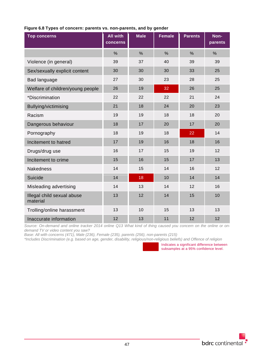| <b>Top concerns</b>                    | All with<br>concerns | <b>Male</b> | <b>Female</b> | <b>Parents</b> | Non-<br>parents |
|----------------------------------------|----------------------|-------------|---------------|----------------|-----------------|
|                                        | %                    | $\%$        | $\%$          | $\%$           | $\%$            |
| Violence (in general)                  | 39                   | 37          | 40            | 39             | 39              |
| Sex/sexually explicit content          | 30                   | 30          | 30            | 33             | 25              |
| Bad language                           | 27                   | 30          | 23            | 28             | 25              |
| Welfare of children/young people       | 26                   | 19          | 32            | 26             | 25              |
| *Discrimination                        | 22                   | 22          | 22            | 21             | 24              |
| Bullying/victimising                   | 21                   | 18          | 24            | 20             | 23              |
| Racism                                 | 19                   | 19          | 18            | 18             | 20              |
| Dangerous behaviour                    | 18                   | 17          | 20            | 17             | 20              |
| Pornography                            | 18                   | 19          | 18            | 22             | 14              |
| Incitement to hatred                   | 17                   | 19          | 16            | 18             | 16              |
| Drugs/drug use                         | 16                   | 17          | 15            | 19             | 12              |
| Incitement to crime                    | 15                   | 16          | 15            | 17             | 13              |
| <b>Nakedness</b>                       | 14                   | 15          | 14            | 16             | 12              |
| Suicide                                | 14                   | 18          | 10            | 14             | 14              |
| Misleading advertising                 | 14                   | 13          | 14            | 12             | 16              |
| Illegal child sexual abuse<br>material | 13                   | 12          | 14            | 15             | 10              |
| Trolling/online harassment             | 13                   | 10          | 15            | 13             | 13              |
| Inaccurate information                 | 12                   | 13          | 11            | 12             | 12              |

# **Figure 6.8 Types of concern: parents vs. non-parents, and by gender**

*Source: On-demand and online tracker 2014 online Q13 What kind of thing caused you concern on the online or ondemand TV or video content you saw?*

*Base: All with concerns (471), Male (236), Female (235), parents (256), non-parents (215)*

*\*Includes Discrimination (e.g. based on age, gender, disability, religious/non-religious beliefs) and Offence of religion*

Indicates a significant difference between subsamples at a 95% confidence level.

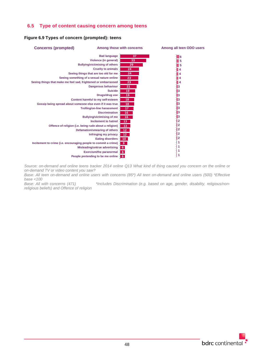# **6.5 Type of content causing concern among teens**

# **Figure 6.9 Types of concern (prompted): teens**



*Source: on-demand and online teens tracker 2014 online Q13 What kind of thing caused you concern on the online or on-demand TV or video content you saw?*

*Base: All teen on-demand and online users with concerns (85\*) All teen on-demand and online users (500) \*Effective base <100* \*Includes Discrimination (e.g. based on age, gender, disability, religious/non-

*religious beliefs) and Offence of religion*

bdrc continental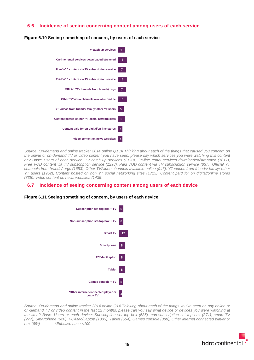# **6.6 Incidence of seeing concerning content among users of each service**



**Figure 6.10 Seeing something of concern, by users of each service**

*Source: On-demand and online tracker 2014 online Q13A Thinking about each of the things that caused you concern on the online or on-demand TV or video content you have seen, please say which services you were watching this content on? Base: Users of each service: TV catch up services (2128), On-line rental services downloaded/streamed (1017), Free VOD content via TV subscription service (1298), Paid VOD content via TV subscription service (837), Official YT channels from brands/ orgs (1653), Other TV/video channels available online (946), YT videos from friends/ family/ other YT users (1952), Content posted on non YT social networking sites (1715). Content paid for on digital/online stores (835), Video content on news websites (1435)*

# **6.7 Incidence of seeing concerning content among users of each device**

#### **Figure 6.11 Seeing something of concern, by users of each device**



*Source: On-demand and online tracker 2014 online Q14 Thinking about each of the things you've seen on any online or on-demand TV or video content in the last 12 months, please can you say what device or devices you were watching at the time? Base: Users or each device: Subscription set top box (685), non-subscription set top box (371), smart TV (277), Smartphone (620), PC/Mac/Laptop (1033), Tablet (554), Games console (388), Other internet connected player or box (69\*) \*Effective base <100*

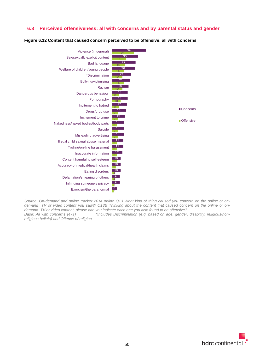# **6.8 Perceived offensiveness: all with concerns and by parental status and gender**

**Figure 6.12 Content that caused concern perceived to be offensive: all with concerns**



*Source: On-demand and online tracker 2014 online Q13 What kind of thing caused you concern on the online or ondemand TV or video content you saw?/ Q13B Thinking about the content that caused concern on the online or ondemand TV or video content, please can you indicate each one you also found to be offensive?*

\*Includes Discrimination (e.g. based on age, gender, disability, religious/non*religious beliefs) and Offence of religion*

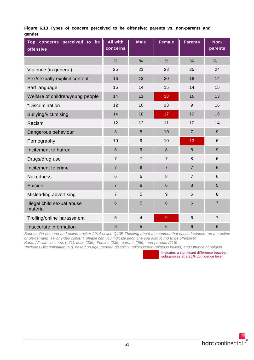|        |  |  |  |  |  | Figure 6.13 Types of concern perceived to be offensive: parents vs. non-parents and |  |
|--------|--|--|--|--|--|-------------------------------------------------------------------------------------|--|
| qender |  |  |  |  |  |                                                                                     |  |

| Top concerns perceived to be<br>offensive | <b>All with</b><br>concerns | <b>Male</b>     | <b>Female</b>   | <b>Parents</b>  | Non-<br>parents |
|-------------------------------------------|-----------------------------|-----------------|-----------------|-----------------|-----------------|
|                                           | $\frac{0}{0}$               | $\frac{0}{0}$   | $\frac{0}{0}$   | $\frac{0}{0}$   | $\frac{0}{0}$   |
| Violence (in general)                     | 25                          | 21              | 28              | 25              | 24              |
| Sex/sexually explicit content             | 16                          | 13              | 20              | 18              | 14              |
| Bad language                              | 15                          | 14              | 15              | 14              | 15              |
| Welfare of children/young people          | 14                          | 11              | 18              | 16              | 13              |
| *Discrimination                           | 12                          | 10              | 13              | 9               | 16              |
| Bullying/victimising                      | 14                          | 10              | 17              | 12              | 16              |
| Racism                                    | 12                          | 12              | 11              | 10              | 14              |
| Dangerous behaviour                       | 8                           | 5               | 10              | $\overline{7}$  | 9               |
| Pornography                               | 10                          | 9               | 10              | 13              | 6               |
| Incitement to hatred                      | $\bf 8$                     | 9               | 8               | $\bf 8$         | $\mathsf g$     |
| Drugs/drug use                            | $\overline{7}$              | $\overline{7}$  | $\overline{7}$  | 8               | 6               |
| Incitement to crime                       | $\overline{7}$              | $6\phantom{1}6$ | $\overline{7}$  | $\overline{7}$  | 6               |
| <b>Nakedness</b>                          | $\,6$                       | 5               | 8               | $\overline{7}$  | 6               |
| Suicide                                   | $\overline{7}$              | 8               | $6\phantom{1}6$ | 8               | 5               |
| Misleading advertising                    | $\overline{7}$              | 5               | 9               | $6\phantom{1}6$ | 8               |
| Illegal child sexual abuse<br>material    | 6                           | 5               | 8               | $6\phantom{1}6$ | $\overline{7}$  |
| Trolling/online harassment                | $6\phantom{1}$              | $\overline{4}$  | $\overline{9}$  | 6               | $\overline{7}$  |
| Inaccurate information                    | 6                           | 5               | $6\phantom{1}6$ | $6\phantom{1}6$ | 6               |

*Source: On-demand and online tracker 2014 online Q13B Thinking about the content that caused concern on the online or on-demand TV or video content, please can you indicate each one you also found to be offensive? Base: All with concerns (471), Male (236), Female (235), parents (256), non-parents (215)*

*\*Includes Discrimination (e.g. based on age, gender, disability, religious/non-religious beliefs) and Offence of religion*

Indicates a significant difference between subsamples at a 95% confidence level.

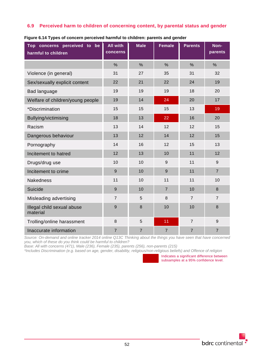# **6.9 Perceived harm to children of concerning content, by parental status and gender**

| Top concerns perceived to be<br>harmful to children | <b>All with</b><br>concerns | <b>Male</b>    | <b>Female</b>  | <b>Parents</b> | Non-<br>parents |
|-----------------------------------------------------|-----------------------------|----------------|----------------|----------------|-----------------|
|                                                     | $\frac{0}{0}$               | $\frac{0}{0}$  | $\frac{0}{0}$  | $\frac{0}{0}$  | $\frac{0}{0}$   |
| Violence (in general)                               | 31                          | 27             | 35             | 31             | 32              |
| Sex/sexually explicit content                       | 22                          | 21             | 22             | 24             | 19              |
| Bad language                                        | 19                          | 19             | 19             | 18             | 20              |
| Welfare of children/young people                    | 19                          | 14             | 24             | 20             | 17              |
| *Discrimination                                     | 15                          | 15             | 15             | 13             | 19              |
| Bullying/victimising                                | 18                          | 13             | 22             | 16             | 20              |
| Racism                                              | 13                          | 14             | 12             | 12             | 15              |
| Dangerous behaviour                                 | 13                          | 12             | 14             | 12             | 15              |
| Pornography                                         | 14                          | 16             | 12             | 15             | 13              |
| Incitement to hatred                                | 12                          | 13             | 10             | 11             | 12              |
| Drugs/drug use                                      | 10                          | 10             | 9              | 11             | 9               |
| Incitement to crime                                 | 9                           | 10             | 9              | 11             | $\overline{7}$  |
| <b>Nakedness</b>                                    | 11                          | 10             | 11             | 11             | 10              |
| Suicide                                             | 9                           | 10             | $\overline{7}$ | 10             | 8               |
| Misleading advertising                              | $\overline{7}$              | 5              | 8              | $\overline{7}$ | $\overline{7}$  |
| Illegal child sexual abuse<br>material              | 9                           | 8              | 10             | 10             | 8               |
| Trolling/online harassment                          | $\,8\,$                     | 5              | 11             | $\overline{7}$ | 9               |
| Inaccurate information                              | $\overline{7}$              | $\overline{7}$ | $\overline{7}$ | $\overline{7}$ | $\overline{7}$  |

**Figure 6.14 Types of concern perceived harmful to children: parents and gender**

*Source: On-demand and online tracker 2014 online Q13C Thinking about the things you have seen that have concerned you, which of these do you think could be harmful to children?*

*Base: All with concerns (471), Male (236), Female (235), parents (256), non-parents (215)*

*\*Includes Discrimination (e.g. based on age, gender, disability, religious/non-religious beliefs) and Offence of religion*

Indicates a significant difference between subsamples at a 95% confidence level.

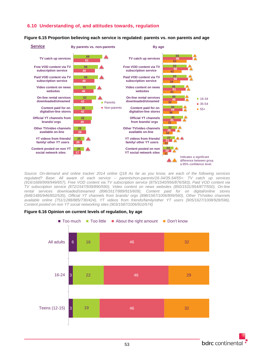# **6.10 Understanding of, and attitudes towards, regulation**

#### **Figure 6.15 Proportion believing each service is regulated: parents vs. non parents and age**



*Source: On-demand and online tracker 2014 online Q18 As far as you know, are each of the following services regulated? Base: All aware of each service – parents/non-parents/16-34/35-54/55+: TV catch up services (916/1689/999/949/657), Free VOD content via TV subscription service (875/1540/956/876/583), Paid VOD content via TV subscription service (872/1547/939/890/590), Video content on news websites (850/1531/954/877/550), On-line rental services downloaded/streamed (896/1617/989/915/609), Content paid for on digital/online stores (848/1485/946/852/535), Official YT channels from brands/ orgs (898/1567/1006/899/560), Other TV/video channels available online (751/1288/885/730/424), YT videos from friends/family/other YT users (905/1627/1008/928/596), Content posted on non YT social networking sites (903/1587/1006/910/574)*



#### **Figure 6.16 Opinion on current levels of regulation, by age**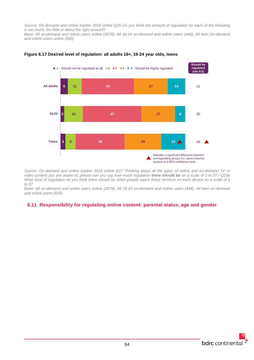*Source: On-demand and online tracker 2014 online Q20 Do you think the amount of regulation for each of the following is too much, too little or about the right amount?*

*Base: All on-demand and online users online (2678), All 16-24 on-demand and online users (446), All teen On-demand and online users online (500)*



#### **Figure 6.17 Desired level of regulation: all adults 16+, 16-24 year olds, teens**

*Source: On-demand and online tracker 2014 online Q17 Thinking about all the types of online and on-demand TV or video content you are aware of, please can you say how much regulation there should be on a scale of 1 to 5? / Q23a What level of regulation do you think there should be when people watch these services on each device on a scale of 1 to 5?*

*Base: All on-demand and online users online (2678), All 16-24 on-demand and online users (446), All teen on-demand and online users (500).*

# **6.11 Responsibility for regulating online content: parental status, age and gender**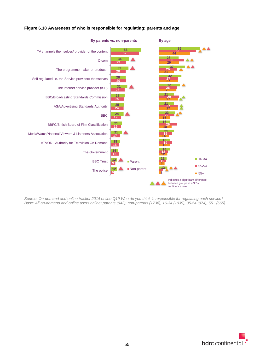

## **Figure 6.18 Awareness of who is responsible for regulating: parents and age**

*Source: On-demand and online tracker 2014 online Q19 Who do you think is responsible for regulating each service? Base: All on-demand and online users online: parents (942), non-parents (1736), 16-34 (1039), 35-54 (974), 55+ (665)*

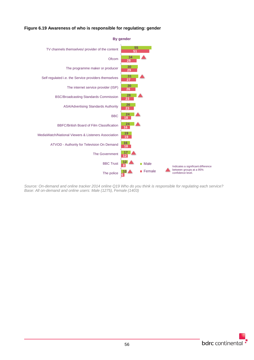## **Figure 6.19 Awareness of who is responsible for regulating: gender**



*Source: On-demand and online tracker 2014 online Q19 Who do you think is responsible for regulating each service? Base: All on-demand and online users: Male (1275), Female (1403)*

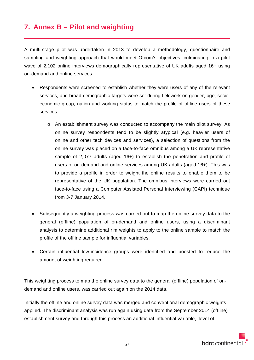# **7. Annex B – Pilot and weighting**

A multi-stage pilot was undertaken in 2013 to develop a methodology, questionnaire and sampling and weighting approach that would meet Ofcom's objectives, culminating in a pilot wave of 2,102 online interviews demographically representative of UK adults aged 16+ using on-demand and online services.

- Respondents were screened to establish whether they were users of any of the relevant services, and broad demographic targets were set during fieldwork on gender, age, socioeconomic group, nation and working status to match the profile of offline users of these services.
	- o An establishment survey was conducted to accompany the main pilot survey. As online survey respondents tend to be slightly atypical (e.g. heavier users of online and other tech devices and services), a selection of questions from the online survey was placed on a face-to-face omnibus among a UK representative sample of 2,077 adults (aged 16+) to establish the penetration and profile of users of on-demand and online services among UK adults (aged 16+). This was to provide a profile in order to weight the online results to enable them to be representative of the UK population. The omnibus interviews were carried out face-to-face using a Computer Assisted Personal Interviewing (CAPI) technique from 3-7 January 2014.
- Subsequently a weighting process was carried out to map the online survey data to the general (offline) population of on-demand and online users, using a discriminant analysis to determine additional rim weights to apply to the online sample to match the profile of the offline sample for influential variables.
- Certain influential low-incidence groups were identified and boosted to reduce the amount of weighting required.

This weighting process to map the online survey data to the general (offline) population of ondemand and online users, was carried out again on the 2014 data.

Initially the offline and online survey data was merged and conventional demographic weights applied. The discriminant analysis was run again using data from the September 2014 (offline) establishment survey and through this process an additional influential variable, 'level of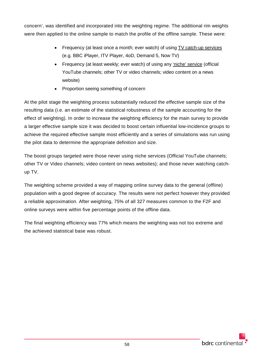concern', was identified and incorporated into the weighting regime. The additional rim weights were then applied to the online sample to match the profile of the offline sample. These were:

- Frequency (at least once a month; ever watch) of using TV catch-up services (e.g. BBC iPlayer, ITV Player, 4oD, Demand 5, Now TV)
- Frequency (at least weekly; ever watch) of using any 'niche' service (official YouTube channels; other TV or video channels; video content on a news website)
- Proportion seeing something of concern

At the pilot stage the weighting process substantially reduced the *effective* sample size of the resulting data (i.e. an estimate of the statistical robustness of the sample accounting for the effect of weighting). In order to increase the weighting efficiency for the main survey to provide a larger effective sample size it was decided to boost certain influential low-incidence groups to achieve the required effective sample most efficiently and a series of simulations was run using the pilot data to determine the appropriate definition and size.

The boost groups targeted were those never using niche services (Official YouTube channels; other TV or Video channels; video content on news websites); and those never watching catchup TV.

The weighting scheme provided a way of mapping online survey data to the general (offline) population with a good degree of accuracy. The results were not perfect however they provided a reliable approximation. After weighting, 75% of all 327 measures common to the F2F and online surveys were within five percentage points of the offline data.

The final weighting efficiency was 77% which means the weighting was not too extreme and the achieved statistical base was robust.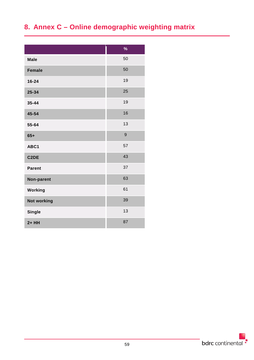# **8. Annex C – Online demographic weighting matrix**

|                   | $\frac{9}{6}$ |
|-------------------|---------------|
| <b>Male</b>       | 50            |
| <b>Female</b>     | 50            |
| 16-24             | 19            |
| 25-34             | 25            |
| 35-44             | 19            |
| 45-54             | 16            |
| 55-64             | 13            |
| $65+$             | 9             |
| ABC1              | 57            |
| C <sub>2</sub> DE | 43            |
| <b>Parent</b>     | 37            |
| Non-parent        | 63            |
| Working           | 61            |
| Not working       | 39            |
| <b>Single</b>     | 13            |
| $2+HH$            | 87            |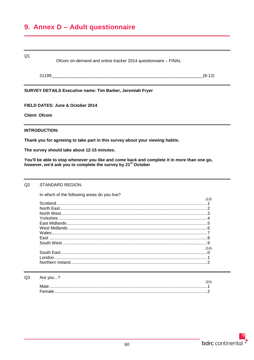# 9. Annex D - Adult questionnaire

| Q1                   | Ofcom on-demand and online tracker 2014 questionnaire - FINAL                                                                                                           |          |
|----------------------|-------------------------------------------------------------------------------------------------------------------------------------------------------------------------|----------|
|                      |                                                                                                                                                                         | $(8-12)$ |
|                      | <b>SURVEY DETAILS Executive name: Tim Barber, Jeremiah Fryer</b>                                                                                                        |          |
|                      | FIELD DATES: June & October 2014                                                                                                                                        |          |
| <b>Client: Ofcom</b> |                                                                                                                                                                         |          |
| <b>INTRODUCTION:</b> |                                                                                                                                                                         |          |
|                      | Thank you for agreeing to take part in this survey about your viewing habits.                                                                                           |          |
|                      | The survey should take about 12-15 minutes.                                                                                                                             |          |
|                      | You'll be able to stop whenever you like and come back and complete it in more than one go,<br>however, we'd ask you to complete the survey by 21 <sup>st</sup> October |          |

#### $Q2$ STANDARD REGION.

In which of the following areas do you live?

| 14) |
|-----|
|     |
|     |
|     |

#### $Q3$ Are you...?

| . |                                                                                                                                                                                                                                                                                                                                                                                                                                                                                                                                                                             |  |
|---|-----------------------------------------------------------------------------------------------------------------------------------------------------------------------------------------------------------------------------------------------------------------------------------------------------------------------------------------------------------------------------------------------------------------------------------------------------------------------------------------------------------------------------------------------------------------------------|--|
|   |                                                                                                                                                                                                                                                                                                                                                                                                                                                                                                                                                                             |  |
|   |                                                                                                                                                                                                                                                                                                                                                                                                                                                                                                                                                                             |  |
|   | $\color{red} Female \color{blue} \ldots \color{blue} \ldots \color{blue} \ldots \color{blue} \ldots \color{blue} \ldots \color{blue} \ldots \color{blue} \ldots \color{blue} \ldots \color{blue} \ldots \color{blue} \ldots \color{blue} \ldots \color{blue} \ldots \color{blue} \ldots \color{blue} \ldots \color{blue} \ldots \color{blue} \ldots \color{blue} \ldots \color{blue} \ldots \color{blue} \ldots \color{blue} \ldots \color{blue} \ldots \color{blue} \ldots \color{blue} \ldots \color{blue} \ldots \color{blue} \ldots \color{blue} \ldots \color{blue} \$ |  |
|   |                                                                                                                                                                                                                                                                                                                                                                                                                                                                                                                                                                             |  |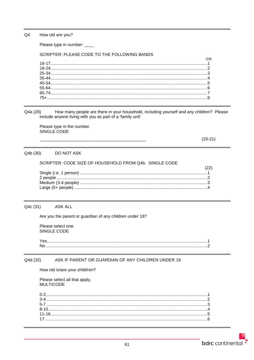$Q<sub>4</sub>$ How old are you?

Please type in number: \_\_\_\_

# SCRIPTER: PLEASE CODE TO THE FOLLOWING BANDS

| 16) |
|-----|
|     |
|     |
|     |
|     |
|     |
|     |
|     |
|     |
|     |

How many people are there in your household, including yourself and any children? Please Q4a (29) include anyone living with you as part of a 'family unit'.

Please type in the number. SINGLE CODE

 $(20-21)$ 

#### DO NOT ASK Q4b (30)

### SCRIPTER: CODE SIZE OF HOUSEHOLD FROM Q4b. SINGLE CODE

#### **ASK ALL** Q4c (31)

Are you the parent or guardian of any children under 18?

Please select one. SINGLE CODE

#### Q4d (32) ASK IF PARENT OR GUARDIAN OF ANY CHILDREN UNDER 18

How old is/are your child/ren?

Please select all that apply. **MULTICODE**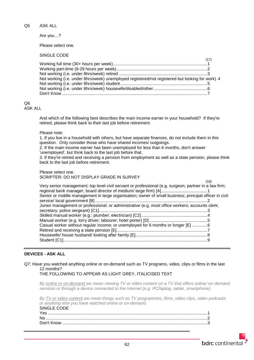Q5 ASK ALL

Are you…?

Please select one.

SINGLE CODE

| Not working (i.e. under 8hrs/week) unemployed registered/not registered but looking for work) 4 |  |
|-------------------------------------------------------------------------------------------------|--|
|                                                                                                 |  |
|                                                                                                 |  |
|                                                                                                 |  |

#### Q6 ASK ALL

And which of the following best describes the main income earner in your household? If they're retired, please think back to their last job before retirement.

Please note:

1. If you live in a household with others, but have separate finances, do not include them in this question. Only consider those who have shared incomes/ outgoings.

2. If the main income earner has been unemployed for less than 6 months, don't answer 'unemployed', but think back to the last job before that.

3. If they're retired and receiving a pension from employment as well as a state pension, please think back to the last job before retirement.

Please select one. SCRIPTER: DO NOT DISPLAY GRADE IN SURVEY

|                                                                                                        | (18) |
|--------------------------------------------------------------------------------------------------------|------|
| Very senior management; top level civil servant or professional (e.g. surgeon; partner in a law firm;  |      |
|                                                                                                        |      |
| Senior or middle management in large organisation; owner of small business; principal officer in civil |      |
|                                                                                                        |      |
| Junior management or professional; or administrative (e.g. most office workers; accounts clerk;        |      |
|                                                                                                        |      |
|                                                                                                        |      |
|                                                                                                        |      |
| Casual worker without regular income; or unemployed for 6 months or longer [E] 6                       |      |
|                                                                                                        |      |
|                                                                                                        |      |
|                                                                                                        |      |
|                                                                                                        |      |

# **DEVICES - ASK ALL**

Q7: Have you watched anything online or on-demand such as TV programs, video, clips or films in the last 12 months?

THE FOLLOWING TO APPEAR AS LIGHT GREY, ITALICISED TEXT

*By online or on-demand we mean viewing TV or video content on a TV that offers online/ on-demand services or through a device connected to the Internet (e.g. PC/laptop, tablet, smartphone).*

*By TV or video content we mean things such as TV programmes, films, video clips, video podcasts or anything else you have watched online or on-demand.* SINGLE CODE

| ----------- |  |
|-------------|--|
|             |  |
|             |  |
|             |  |
|             |  |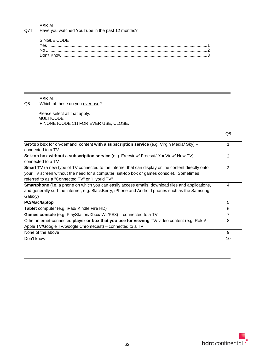# ASK ALL

Q7T Have you watched YouTube in the past 12 months?

| SINGLE CODE |  |
|-------------|--|
|             |  |
|             |  |
|             |  |
|             |  |

ASK ALL

Q8 Which of these do you ever use?

 Please select all that apply. MULTICODE IF NONE (CODE 11) FOR EVER USE, CLOSE.

|                                                                                                           | Q8 |
|-----------------------------------------------------------------------------------------------------------|----|
| <b>Set-top box</b> for on-demand content with a subscription service (e.g. Virgin Media/Sky) –            |    |
| connected to a TV                                                                                         |    |
| Set-top box without a subscription service (e.g. Freeview/ Freesat/ YouView/ Now TV) -                    | 2  |
| connected to a TV                                                                                         |    |
| <b>Smart TV</b> (a new type of TV connected to the internet that can display online content directly onto | 3  |
| your TV screen without the need for a computer; set-top box or games console). Sometimes                  |    |
| referred to as a "Connected TV" or "Hybrid TV"                                                            |    |
| <b>Smartphone</b> (i.e. a phone on which you can easily access emails, download files and applications,   | 4  |
| and generally surf the internet, e.g. BlackBerry, iPhone and Android phones such as the Samsung           |    |
| Galaxy)                                                                                                   |    |
| PC/Mac/laptop                                                                                             | 5  |
| Tablet computer (e.g. iPad/ Kindle Fire HD)                                                               | 6  |
| Games console (e.g. PlayStation/Xbox/ Wii/PS3) - connected to a TV                                        | 7  |
| Other internet-connected player or box that you use for viewing TV/ video content (e.g. Roku/             | 8  |
| Apple TV/Google TV/Google Chromecast) – connected to a TV                                                 |    |
| None of the above                                                                                         | 9  |
| Don't know                                                                                                | 10 |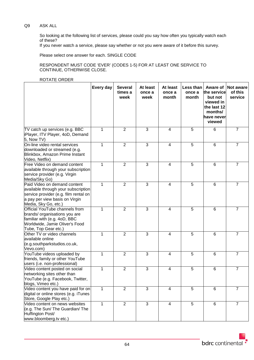# Q9 ASK ALL

So looking at the following list of services, please could you say how often you typically watch each of these?

If you never watch a service, please say whether or not you were aware of it before this survey.

Please select one answer for each. SINGLE CODE

RESPONDENT MUST CODE 'EVER' (CODES 1-5) FOR AT LEAST ONE SERVICE TO CONTINUE, OTHERWISE CLOSE.

#### ROTATE ORDER

|                                                                                                                                                                        | Every day    | <b>Several</b><br>times a<br>week | At least<br>once a<br>week | At least<br>once a<br>month | Less than<br>once a<br>month | Aware of<br>the service<br>but not<br>viewed in<br>the last 12<br>months/<br>have never<br>viewed | Not aware<br>of this<br>service |
|------------------------------------------------------------------------------------------------------------------------------------------------------------------------|--------------|-----------------------------------|----------------------------|-----------------------------|------------------------------|---------------------------------------------------------------------------------------------------|---------------------------------|
| TV catch up services (e.g. BBC<br>iPlayer, ITV Player, 4oD, Demand<br>5, Now TV)                                                                                       | 1            | $\overline{2}$                    | 3                          | 4                           | 5                            | 6                                                                                                 | $\overline{7}$                  |
| On-line video rental services<br>downloaded or streamed (e.g.<br>Blinkbox, Amazon Prime Instant<br>Video, Netflix)                                                     | $\mathbf{1}$ | $\overline{2}$                    | 3                          | $\overline{4}$              | 5                            | 6                                                                                                 | $\overline{7}$                  |
| Free Video on demand content<br>available through your subscription<br>service provider (e.g. Virgin<br>Media/Sky Go)                                                  | $\mathbf{1}$ | $\overline{2}$                    | 3                          | 4                           | 5                            | 6                                                                                                 | $\overline{7}$                  |
| Paid Video on demand content<br>available through your subscription<br>service provider (e.g. film rental on<br>a pay per view basis on Virgin<br>Media, Sky Go, etc.) | $\mathbf{1}$ | $\overline{2}$                    | 3                          | 4                           | 5                            | 6                                                                                                 | $\overline{7}$                  |
| Official YouTube channels from<br>brands/ organisations you are<br>familiar with (e.g. 4oD, BBC<br>Worldwide, Jamie Oliver's Food<br>Tube, Top Gear etc.)              | $\mathbf{1}$ | $\overline{2}$                    | 3                          | 4                           | 5                            | 6                                                                                                 | $\overline{7}$                  |
| Other TV or video channels<br>available online<br>(e.g.southparkstudios.co.uk,<br>Vevo.com)                                                                            | 1            | $\overline{2}$                    | 3                          | 4                           | 5                            | 6                                                                                                 | $\overline{7}$                  |
| YouTube videos uploaded by<br>friends, family or other YouTube<br>users (i.e. non-professional)                                                                        | 1            | $\overline{2}$                    | 3                          | 4                           | 5                            | 6                                                                                                 | $\overline{7}$                  |
| Video content posted on social<br>networking sites other than<br>YouTube (e.g. Facebook, Twitter,<br>blogs, Vimeo etc.)                                                | 1            | $\overline{2}$                    | 3                          | $\overline{4}$              | 5                            | 6                                                                                                 | $\overline{7}$                  |
| Video content you have paid for on<br>digital or online stores (e.g. iTunes<br>Store, Google Play etc.)                                                                | $\mathbf 1$  | 2                                 | 3                          | 4                           | 5                            | $6\phantom{1}6$                                                                                   | $\overline{7}$                  |
| Video content on news websites<br>(e.g. The Sun/ The Guardian/ The<br>Huffington Post/<br>www.bloomberg.tv etc.)                                                       | $\mathbf{1}$ | $\overline{2}$                    | 3                          | 4                           | 5                            | 6                                                                                                 | $\overline{7}$                  |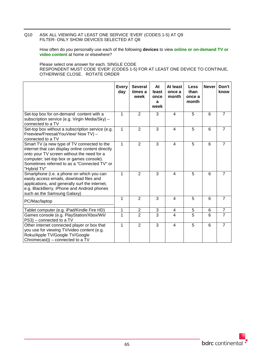## Q10 ASK ALL VIEWING AT LEAST ONE SERVICE 'EVER' (CODES 1-5) AT Q9 FILTER- ONLY SHOW DEVICES SELECTED AT Q8

How often do you personally use each of the following **devices** to view **online or on-demand TV or video content** at home or elsewhere?

Please select one answer for each. SINGLE CODE RESPONDENT MUST CODE 'EVER' (CODES 1-5) FOR AT LEAST ONE DEVICE TO CONTINUE, OTHERWISE CLOSE. ROTATE ORDER

|                                                                                                                                                                                                                                                           | <b>Every</b><br>day | <b>Several</b><br>times a<br>week | At<br>least<br>once<br>a<br>week | At least<br>once a<br>month | <b>Less</b><br>than<br>once a<br>month | <b>Never</b> | Don't<br>know  |
|-----------------------------------------------------------------------------------------------------------------------------------------------------------------------------------------------------------------------------------------------------------|---------------------|-----------------------------------|----------------------------------|-----------------------------|----------------------------------------|--------------|----------------|
| Set-top box for on-demand content with a<br>subscription service (e.g. Virgin Media/Sky) -<br>connected to a TV                                                                                                                                           | 1                   | $\overline{2}$                    | 3                                | 4                           | 5                                      | 6            | $\overline{7}$ |
| Set-top box without a subscription service (e.g.<br>Freeview/Freesat/YouView/ Now TV) -<br>connected to a TV                                                                                                                                              | 1                   | $\overline{2}$                    | $\overline{3}$                   | 4                           | 5                                      | 6            | $\overline{7}$ |
| Smart TV (a new type of TV connected to the<br>internet that can display online content directly<br>onto your TV screen without the need for a<br>computer; set-top box or games console).<br>Sometimes referred to as a "Connected TV" or<br>"Hybrid TV" | 1                   | $\overline{2}$                    | $\overline{3}$                   | $\overline{4}$              | $\overline{5}$                         | 6            | $\overline{7}$ |
| Smartphone (i.e. a phone on which you can<br>easily access emails, download files and<br>applications, and generally surf the internet,<br>e.g. BlackBerry, iPhone and Android phones<br>such as the Samsung Galaxy)                                      | 1                   | $\overline{2}$                    | 3                                | 4                           | 5                                      | 6            | $\overline{7}$ |
| PC/Mac/laptop                                                                                                                                                                                                                                             | 1                   | $\overline{2}$                    | 3                                | 4                           | 5                                      | 6            | $\overline{7}$ |
| Tablet computer (e.g. iPad/Kindle Fire HD)                                                                                                                                                                                                                | 1                   | $\overline{2}$                    | 3                                | 4                           | 5                                      | 6            | $\overline{7}$ |
| Games console (e.g. PlayStation/Xbox/Wii/<br>PS3) – connected to a TV                                                                                                                                                                                     | $\overline{1}$      | $\overline{2}$                    | $\overline{3}$                   | $\overline{\mathbf{4}}$     | $\overline{5}$                         | 6            | $\overline{7}$ |
| Other internet connected player or box that<br>you use for viewing TV/video content (e.g.<br>Roku/Apple TV/Google TV/Google<br>Chromecast)) – connected to a TV                                                                                           | 1                   | $\overline{2}$                    | $\overline{3}$                   | 4                           | $\overline{5}$                         | 6            | $\overline{7}$ |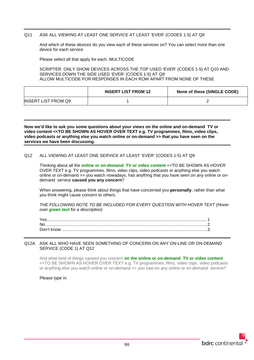### Q11 ASK ALL VIEWING AT LEAST ONE SERVICE AT LEAST 'EVER' (CODES 1-5) AT Q9

And which of these devices do you view each of these services on? You can select more than one device for each service

Please select all that apply for each. MULTICODE

SCRIPTER: ONLY SHOW DEVICES ACROSS THE TOP USED 'EVER' (CODES 1-5) AT Q10 AND SERVICES DOWN THE SIDE USED 'EVER' (CODES 1-5) AT Q9 ALLOW MULTICODE FOR RESPONSES IN EACH ROW APART FROM NONE OF THESE

|                            | <b>INSERT LIST FROM 12</b> | None of these (SINGLE CODE) |
|----------------------------|----------------------------|-----------------------------|
| <b>INSERT LIST FROM Q9</b> |                            |                             |

**Now we'd like to ask you some questions about your views on the online and on-demand TV or video content <<TO BE SHOWN AS HOVER OVER TEXT e.g. TV programmes, films, video clips, video podcasts or anything else you watch online or on-demand >> that you have seen on the services we have been discussing.**

### Q12 ALL VIEWING AT LEAST ONE SERVICE AT LEAST 'EVER' (CODES 1-5) AT Q9

Thinking about all the **online or on-demand TV or video content** <<TO BE SHOWN AS HOVER OVER TEXT e.g. TV programmes, films, video clips, video podcasts or anything else you watch online or on-demand >> you watch nowadays, has anything that you have seen on any online or ondemand service **caused you any concern**?

When answering, please think about things that have concerned you **personally**, rather than what you think might cause concern to others.

*THE FOLLOWING NOTE TO BE INCLUDED FOR EVERY QUESTION WITH HOVER TEXT (Hover over green text for a description)*

#### Q12A ASK ALL WHO HAVE SEEN SOMETHING OF CONCERN ON ANY ON-LINE OR ON-DEMAND SERVICE (CODE 1) AT Q12

And what kind of things caused you concern **on the online or on-demand TV or video content** <<TO BE SHOWN AS HOVER OVER TEXT e.g. TV programmes, films, video clips, video podcasts or anything else you watch online or on-demand >> you saw on any online or on-demand service?

Please type in.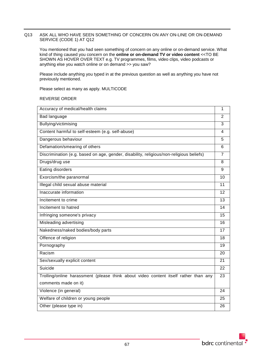#### Q13 ASK ALL WHO HAVE SEEN SOMETHING OF CONCERN ON ANY ON-LINE OR ON-DEMAND SERVICE (CODE 1) AT Q12

You mentioned that you had seen something of concern on any online or on-demand service. What kind of thing caused you concern on the **online or on-demand TV or video content** <<TO BE SHOWN AS HOVER OVER TEXT e.g. TV programmes, films, video clips, video podcasts or anything else you watch online or on demand >> you saw?

Please include anything you typed in at the previous question as well as anything you have not previously mentioned.

Please select as many as apply. MULTICODE

REVERSE ORDER

| Accuracy of medical/health claims                                                       | 1              |
|-----------------------------------------------------------------------------------------|----------------|
| Bad language                                                                            | $\overline{2}$ |
| Bullying/victimising                                                                    | 3              |
| Content harmful to self-esteem (e.g. self-abuse)                                        | 4              |
| Dangerous behaviour                                                                     | 5              |
| Defamation/smearing of others                                                           | 6              |
| Discrimination (e.g. based on age, gender, disability, religious/non-religious beliefs) | 7              |
| Drugs/drug use                                                                          | 8              |
| <b>Eating disorders</b>                                                                 | 9              |
| Exorcism/the paranormal                                                                 | 10             |
| Illegal child sexual abuse material                                                     | 11             |
| Inaccurate information                                                                  | 12             |
| Incitement to crime                                                                     | 13             |
| Incitement to hatred                                                                    | 14             |
| Infringing someone's privacy                                                            | 15             |
| Misleading advertising                                                                  | 16             |
| Nakedness/naked bodies/body parts                                                       | 17             |
| Offence of religion                                                                     | 18             |
| Pornography                                                                             | 19             |
| Racism                                                                                  | 20             |
| Sex/sexually explicit content                                                           | 21             |
| Suicide                                                                                 | 22             |
| Trolling/online harassment (please think about video content itself rather than any     | 23             |
| comments made on it)                                                                    |                |
| Violence (in general)                                                                   | 24             |
| Welfare of children or young people                                                     | 25             |
| Other (please type in)                                                                  | 26             |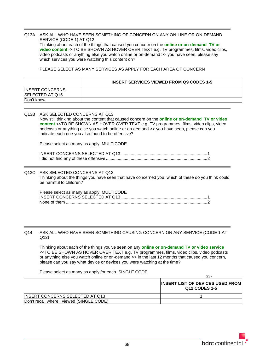#### Q13A ASK ALL WHO HAVE SEEN SOMETHING OF CONCERN ON ANY ON-LINE OR ON-DEMAND SERVICE (CODE 1) AT Q12 Thinking about each of the things that caused you concern on the **online or on-demand TV or video content** <<TO BE SHOWN AS HOVER OVER TEXT e.g. TV programmes, films, video clips, video podcasts or anything else you watch online or on-demand >> you have seen, please say which services you were watching this content on?

PLEASE SELECT AS MANY SERVICES AS APPLY FOR EACH AREA OF CONCERN

|                                                  | <b>INSERT SERVICES VIEWED FROM Q9 CODES 1-5</b> |
|--------------------------------------------------|-------------------------------------------------|
| <b>INSERT CONCERNS</b><br><b>SELECTED AT Q15</b> |                                                 |
| Don't know                                       |                                                 |

| Q13B ASK SELECTED CONCERNS AT Q13<br>Now still thinking about the content that caused concern on the online or on-demand TV or video<br>content << TO BE SHOWN AS HOVER OVER TEXT e.g. TV programmes, films, video clips, video<br>podcasts or anything else you watch online or on-demand >> you have seen, please can you<br>indicate each one you also found to be offensive? |
|----------------------------------------------------------------------------------------------------------------------------------------------------------------------------------------------------------------------------------------------------------------------------------------------------------------------------------------------------------------------------------|
| Please select as many as apply. MULTICODE                                                                                                                                                                                                                                                                                                                                        |
|                                                                                                                                                                                                                                                                                                                                                                                  |
| Q13C ASK SELECTED CONCERNS AT Q13<br>Thinking about the things you have seen that have concerned you, which of these do you think could<br>be harmful to children?                                                                                                                                                                                                               |

| Please select as many as apply. MULTICODE |  |
|-------------------------------------------|--|
|                                           |  |
|                                           |  |

Q14 ASK ALL WHO HAVE SEEN SOMETHING CAUSING CONCERN ON ANY SERVICE (CODE 1 AT Q12)

Thinking about each of the things you've seen on any **online or on-demand TV or video service** <<TO BE SHOWN AS HOVER OVER TEXT e.g. TV programmes, films, video clips, video podcasts or anything else you watch online or on-demand >> in the last 12 months that caused you concern, please can you say what device or devices you were watching at the time?

Please select as many as apply for each. SINGLE CODE

 $(28)$ 

|                                           | 14O)                                                     |
|-------------------------------------------|----------------------------------------------------------|
|                                           | <b>INSERT LIST OF DEVICES USED FROM</b><br>Q12 CODES 1-5 |
| INSERT CONCERNS SELECTED AT Q13           |                                                          |
| Don't recall where I viewed (SINGLE CODE) |                                                          |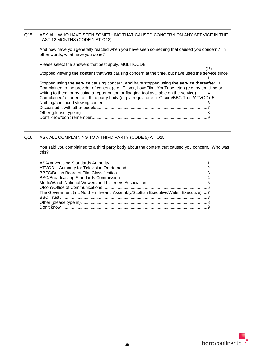# Q15 ASK ALL WHO HAVE SEEN SOMETHING THAT CAUSED CONCERN ON ANY SERVICE IN THE LAST 12 MONTHS (CODE 1 AT Q12)

And how have you generally reacted when you have seen something that caused you concern? In other words, what have you done?

Please select the answers that best apply. MULTICODE

Stopped viewing **the content** that was causing concern at the time, but have used the service since ..............................................................................................................................................1 Stopped using **the service** causing concern, **and** have stopped using **the service thereafter** 3 Complained to the provider of content (e.g. iPlayer, LoveFilm, YouTube, etc.) (e.g. by emailing or writing to them, or by using a report button or flagging tool available on the service) ........4 Complained/reported to a third party body (e.g. a regulator e.g. Ofcom/BBC Trust/ATVOD) 5 Nothing/continued viewing content.......................................................................................6 Discussed it with other people..............................................................................................7 Other (please type in)...........................................................................................................8 Don't know/don't remember..................................................................................................9

# Q16 ASK ALL COMPLAINING TO A THIRD PARTY (CODE 5) AT Q15

You said you complained to a third party body about the content that caused you concern. Who was this?

| The Government (inc Northern Ireland Assembly/Scottish Executive/Welsh Executive) 7 |  |
|-------------------------------------------------------------------------------------|--|
|                                                                                     |  |
|                                                                                     |  |
|                                                                                     |  |

(15)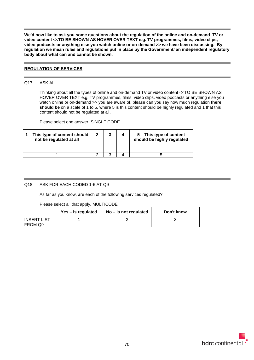**We'd now like to ask you some questions about the regulation of the online and on-demand TV or video content <<TO BE SHOWN AS HOVER OVER TEXT e.g. TV programmes, films, video clips, video podcasts or anything else you watch online or on-demand >> we have been discussing. By regulation we mean rules and regulations put in place by the Government/ an independent regulatory body about what can and cannot be shown.**

## **REGULATION OF SERVICES**

## Q17 ASK ALL

Thinking about all the types of online and on-demand TV or video content <<TO BE SHOWN AS HOVER OVER TEXT e.g. TV programmes, films, video clips, video podcasts or anything else you watch online or on-demand >> you are aware of, please can you say how much regulation **there should be** on a scale of 1 to 5, where 5 is this content should be highly regulated and 1 that this content should not be regulated at all.

Please select one answer. SINGLE CODE

| 1 – This type of content should<br>not be regulated at all | $\mathbf{2}$ | 3 | 5 – This type of content<br>should be highly regulated |
|------------------------------------------------------------|--------------|---|--------------------------------------------------------|
|                                                            |              |   |                                                        |

## Q18 ASK FOR EACH CODED 1-6 AT Q9

As far as you know, are each of the following services regulated?

Please select all that apply. MULTICODE

|                               | Yes – is regulated | $No$ – is not regulated | Don't know |
|-------------------------------|--------------------|-------------------------|------------|
| <b>INSERT LIST</b><br>FROM Q9 |                    |                         |            |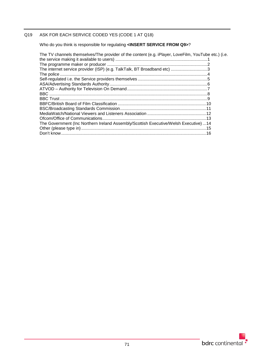## Q19 ASK FOR EACH SERVICE CODED YES (CODE 1 AT Q18)

Who do you think is responsible for regulating **<INSERT SERVICE FROM Q9>**?

| The TV channels themselves/The provider of the content (e.g. iPlayer, LoveFilm, YouTube etc.) (i.e. |  |
|-----------------------------------------------------------------------------------------------------|--|
|                                                                                                     |  |
| The internet service provider (ISP) (e.g. TalkTalk, BT Broadband etc) 3                             |  |
|                                                                                                     |  |
|                                                                                                     |  |
|                                                                                                     |  |
|                                                                                                     |  |
|                                                                                                     |  |
|                                                                                                     |  |
|                                                                                                     |  |
|                                                                                                     |  |
|                                                                                                     |  |
|                                                                                                     |  |
| The Government (Inc Northern Ireland Assembly/Scottish Executive/Welsh Executive)14                 |  |
|                                                                                                     |  |
|                                                                                                     |  |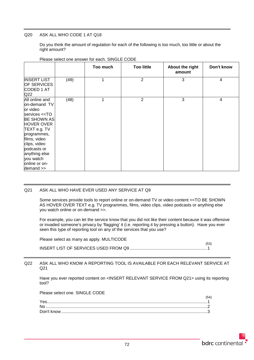## Q20 ASK ALL WHO CODE 1 AT Q18

Do you think the amount of regulation for each of the following is too much, too little or about the right amount?

|                                                                                                                                                                                                                                                                  |      | Too much | <b>Too little</b> | About the right<br>amount | Don't know |
|------------------------------------------------------------------------------------------------------------------------------------------------------------------------------------------------------------------------------------------------------------------|------|----------|-------------------|---------------------------|------------|
| <b>INSERT LIST</b><br><b>OF SERVICES</b><br>CODED 1 AT<br>Q <sub>22</sub>                                                                                                                                                                                        | (49) | 1        | $\overline{2}$    | 3                         | 4          |
| All online and<br>on-demand TV<br>or video<br>services < <to<br><b>BE SHOWN AS</b><br/><b>HOVER OVER</b><br/>TEXT e.g. TV<br/>programmes,<br/>films, video<br/>clips, video<br/>podcasts or<br/>anything else<br/>you watch<br/>online or on-<br/>demand</to<br> | (48) | 1        | 2                 | 3                         | 4          |

#### Please select one answer for each. SINGLE CODE

### Q21 ASK ALL WHO HAVE EVER USED ANY SERVICE AT Q9

Some services provide tools to report online or on-demand TV or video content <<TO BE SHOWN AS HOVER OVER TEXT e.g. TV programmes, films, video clips, video podcasts or anything else you watch online or on-demand >>.

For example, you can let the service know that you did not like their content because it was offensive or invaded someone's privacy by 'flagging' it (i.e. reporting it by pressing a button). Have you ever seen this type of reporting tool on any of the services that you use?

| Please select as many as apply. MULTICODE |      |
|-------------------------------------------|------|
|                                           | (53) |

### Q22 ASK ALL WHO KNOW A REPORTING TOOL IS AVAILABLE FOR EACH RELEVANT SERVICE AT Q21

Have you ever reported content on <INSERT RELEVANT SERVICE FROM Q21> using its reporting tool?

Please select one. SINGLE CODE

| Yes |  |
|-----|--|
|     |  |
|     |  |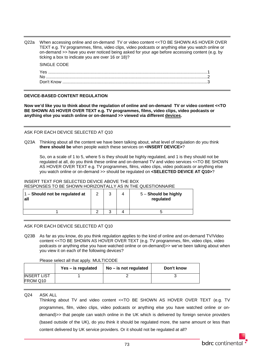Q22a When accessing online and on-demand TV or video content <<TO BE SHOWN AS HOVER OVER TEXT e.g. TV programmes, films, video clips, video podcasts or anything else you watch online or on-demand >> have you ever noticed being asked for your age before accessing content (e.g. by ticking a box to indicate you are over 16 or 18)?

#### SINGLE CODE

| Yes |  |
|-----|--|
| No  |  |
|     |  |

### **DEVICE-BASED CONTENT REGULATION**

**Now we'd like you to think about the regulation of online and on-demand TV or video content <<TO BE SHOWN AS HOVER OVER TEXT e.g. TV programmes, films, video clips, video podcasts or anything else you watch online or on-demand >> viewed via different devices.**

### ASK FOR EACH DEVICE SELECTED AT Q10

Q23A Thinking about all the content we have been talking about, what level of regulation do you think **there should be** when people watch these services on **<INSERT DEVICE>**?

So, on a scale of 1 to 5, where 5 is they should be highly regulated, and 1 is they should not be regulated at all, do you think these online and on-demand TV and video services <<TO BE SHOWN AS HOVER OVER TEXT e.g. TV programmes, films, video clips, video podcasts or anything else you watch online or on-demand >> should be regulated on **<SELECTED DEVICE AT Q10>**?

#### INSERT TEXT FOR SELECTED DEVICE ABOVE THE BOX RESPONSES TO BE SHOWN HORIZONTALLY AS IN THE QUESTIONNAIRE

| $1 -$ Should not be regulated at<br>l all | $\sim$ | ົ | 5 - Should be highly<br>regulated |
|-------------------------------------------|--------|---|-----------------------------------|
|                                           |        |   |                                   |

### ASK FOR EACH DEVICE SELECTED AT Q10

Q23B As far as you know, do you think regulation applies to the kind of online and on-demand TV/Video content <<TO BE SHOWN AS HOVER OVER TEXT (e.g. TV programmes, film, video clips, video podcasts or anything else you have watched online or on-demand)>> we've been talking about when you view it on each of the following devices?

### Please select all that apply. MULTICODE

|                                | Yes – is regulated | $No - is not regulated$ | Don't know |
|--------------------------------|--------------------|-------------------------|------------|
| <b>INSERT LIST</b><br>FROM Q10 |                    |                         |            |

Q24 ASK ALL

Thinking about TV and video content <<TO BE SHOWN AS HOVER OVER TEXT (e.g. TV programmes, film, video clips, video podcasts or anything else you have watched online or ondemand)>> that people can watch online in the UK which is delivered by foreign service providers (based outside of the UK), do you think it should be regulated more, the same amount or less than content delivered by UK service providers. Or it should not be regulated at all?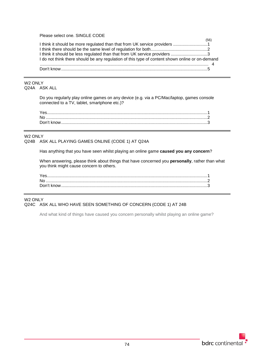## Please select one. SINGLE CODE

|                                                                                                 | (56 |
|-------------------------------------------------------------------------------------------------|-----|
|                                                                                                 |     |
|                                                                                                 |     |
|                                                                                                 |     |
| I do not think there should be any regulation of this type of content shown online or on-demand |     |
|                                                                                                 |     |
|                                                                                                 |     |
|                                                                                                 |     |

#### W2 ONLY Q24A ASK ALL

Do you regularly play online games on any device (e.g. via a PC/Mac/laptop, games console connected to a TV, tablet, smartphone etc.)?

| No. |  |
|-----|--|
|     |  |

### W2 ONLY

Q24B ASK ALL PLAYING GAMES ONLINE (CODE 1) AT Q24A

Has anything that you have seen whilst playing an online game **caused you any concern**?

When answering, please think about things that have concerned you **personally**, rather than what you think might cause concern to others.

## W2 ONLY Q24C ASK ALL WHO HAVE SEEN SOMETHING OF CONCERN (CODE 1) AT 24B

And what kind of things have caused you concern personally whilst playing an online game?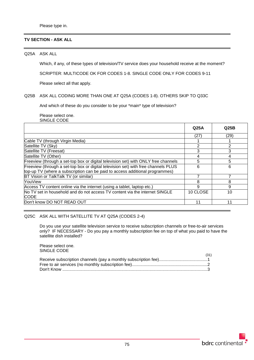### **TV SECTION - ASK ALL**

Q25A ASK ALL

Which, if any, of these types of television/TV service does your household receive at the moment?

SCRIPTER: MULTICODE OK FOR CODES 1-8. SINGLE CODE ONLY FOR CODES 9-11

Please select all that apply.

#### Q25B ASK ALL CODING MORE THAN ONE AT Q25A (CODES 1-8). OTHERS SKIP TO Q33C

And which of these do you consider to be your \*main\* type of television?

Please select one. SINGLE CODE

|                                                                                            | Q <sub>25A</sub> | Q <sub>25B</sub> |
|--------------------------------------------------------------------------------------------|------------------|------------------|
|                                                                                            | (27)             | (29)             |
| Cable TV (through Virgin Media)                                                            |                  |                  |
| Satellite TV (Sky)                                                                         | 2                | 2                |
| Satellite TV (Freesat)                                                                     | 3                | 3                |
| Satellite TV (Other)                                                                       | 4                | 4                |
| Freeview (through a set-top box or digital television set) with ONLY free channels         | 5                | 5                |
| Freeview (through a set-top box or digital television set) with free channels PLUS         | 6                | 6                |
| top-up TV (where a subscription can be paid to access additional programmes)               |                  |                  |
| BT Vision or TalkTalk TV (or similar)                                                      |                  |                  |
| YouView                                                                                    | 8                | 8                |
| Access TV content online via the internet (using a tablet, laptop etc.)                    | 9                | 9                |
| No TV set in household and do not access TV content via the internet SINGLE<br><b>CODE</b> | 10 CLOSE         | 10               |
| Don't know DO NOT READ OUT                                                                 | 11               | 11               |

Q25C ASK ALL WITH SATELLITE TV AT Q25A (CODES 2-4)

Do you use your satellite television service to receive subscription channels or free-to-air services only? IF NECESSARY - Do you pay a monthly subscription fee on top of what you paid to have the satellite dish installed?

Please select one. SINGLE CODE

| (31) |
|------|
|      |
|      |
|      |

 $(21)$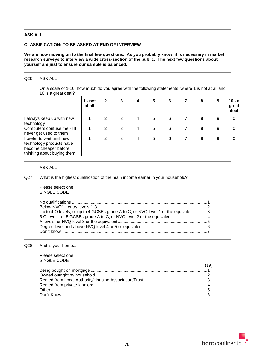## **ASK ALL**

## **CLASSIFICATION: TO BE ASKED AT END OF INTERVIEW**

#### **We are now moving on to the final few questions. As you probably know, it is necessary in market research surveys to interview a wide cross-section of the public. The next few questions about yourself are just to ensure our sample is balanced.**

## Q26 ASK ALL

On a scale of 1-10, how much do you agree with the following statements, where 1 is not at all and 10 is a great deal?

|                                                                                                               | 1 - not<br>at all | $\mathbf{2}$ |   |   | 5 | 6 | 8 | 9 | $10 - a$<br>great<br>deal |
|---------------------------------------------------------------------------------------------------------------|-------------------|--------------|---|---|---|---|---|---|---------------------------|
| I always keep up with new<br>technology                                                                       |                   |              | 3 | 4 | 5 | 6 | 8 | 9 | $\Omega$                  |
| Computers confuse me - I'll<br>never get used to them                                                         |                   | 2            | 3 | 4 | 5 | 6 | 8 | 9 | $\Omega$                  |
| I prefer to wait until new<br>technology products have<br>become cheaper before<br>thinking about buying them |                   | 2            | 3 | 4 | 5 | 6 | 8 | 9 | $\Omega$                  |

## ASK ALL

## Q27 What is the highest qualification of the main income earner in your household?

Please select one. SINGLE CODE

| Up to 4 O levels, or up to 4 GCSEs grade A to C, or NVQ level 1 or the equivalent3 |  |
|------------------------------------------------------------------------------------|--|
|                                                                                    |  |
|                                                                                    |  |
|                                                                                    |  |
|                                                                                    |  |
|                                                                                    |  |

#### Q28 And is your home....

Please select one. SINGLE CODE

| (19) |
|------|
|      |
|      |
|      |
|      |
|      |
|      |

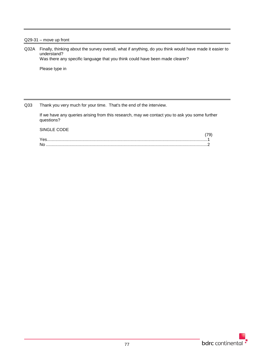## Q29-31 – move up front

Q32A Finally, thinking about the survey overall, what if anything, do you think would have made it easier to understand? Was there any specific language that you think could have been made clearer?

Please type in

Q33 Thank you very much for your time. That's the end of the interview.

If we have any queries arising from this research, may we contact you to ask you some further questions?

## SINGLE CODE

| Nr |  |
|----|--|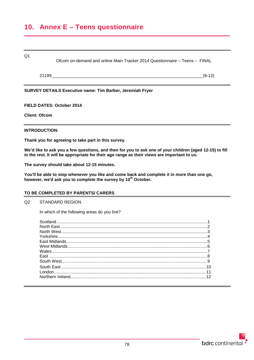## **10. Annex E – Teens questionnaire**

#### Q1

Ofcom on-demand and online Main Tracker 2014 Questionnaire – Teens – FINAL

21199\_\_\_\_\_\_\_\_\_\_\_\_\_\_\_\_\_\_\_\_\_\_\_\_\_\_\_\_\_\_\_\_\_\_\_\_\_\_\_\_\_\_\_\_\_\_\_\_\_\_\_\_\_\_\_\_\_\_\_\_\_\_\_\_(8-12)

## **SURVEY DETAILS Executive name: Tim Barber, Jeremiah Fryer**

**FIELD DATES: October 2014**

**Client: Ofcom**

## **INTRODUCTION:**

**Thank you for agreeing to take part in this survey.**

**We'd like to ask you a few questions, and then for you to ask one of your children (aged 12-15) to fill in the rest. It will be appropriate for their age range as their views are important to us.** 

**The survey should take about 12-15 minutes.** 

**You'll be able to stop whenever you like and come back and complete it in more than one go, however, we'd ask you to complete the survey by 10th October.**

### **TO BE COMPLETED BY PARENTS/ CARERS**

### Q2 STANDARD REGION.

In which of the following areas do you live?

| 5  |
|----|
|    |
|    |
|    |
|    |
|    |
|    |
| 12 |
|    |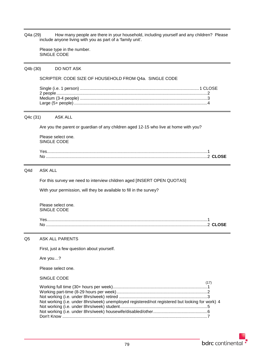Q4a (29) How many people are there in your household, including yourself and any children? Please include anyone living with you as part of a 'family unit'.

Please type in the number. SINGLE CODE

Q4b (30) DO NOT ASK

#### SCRIPTER: CODE SIZE OF HOUSEHOLD FROM Q4a. SINGLE CODE

#### Q4c (31) ASK ALL

Are you the parent or guardian of any children aged 12-15 who live at home with you?

Please select one. SINGLE CODE

#### Q4d ASK ALL

For this survey we need to interview children aged [INSERT OPEN QUOTAS]

With your permission, will they be available to fill in the survey?

Please select one. SINGLE CODE

| Nc |  |
|----|--|

## Q5 ASK ALL PARENTS

First, just a few question about yourself.

Are you…?

Please select one.

#### SINGLE CODE

| Not working (i.e. under 8hrs/week) unemployed registered/not registered but looking for work) 4 |  |
|-------------------------------------------------------------------------------------------------|--|
|                                                                                                 |  |
|                                                                                                 |  |
|                                                                                                 |  |
|                                                                                                 |  |

 $(17)$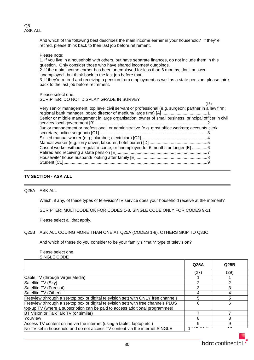Q6 ASK ALL

> And which of the following best describes the main income earner in your household? If they're retired, please think back to their last job before retirement.

Please note:

1. If you live in a household with others, but have separate finances, do not include them in this question. Only consider those who have shared incomes/ outgoings.

2. If the main income earner has been unemployed for less than 6 months, don't answer 'unemployed', but think back to the last job before that.

3. If they're retired and receiving a pension from employment as well as a state pension, please think back to the last job before retirement.

#### Please select one. SCRIPTER: DO NOT DISPLAY GRADE IN SURVEY

|                                                                                                        | (18) |
|--------------------------------------------------------------------------------------------------------|------|
| Very senior management; top level civil servant or professional (e.g. surgeon; partner in a law firm;  |      |
|                                                                                                        |      |
| Senior or middle management in large organisation; owner of small business; principal officer in civil |      |
|                                                                                                        |      |
| Junior management or professional; or administrative (e.g. most office workers; accounts clerk;        |      |
|                                                                                                        |      |
|                                                                                                        |      |
|                                                                                                        |      |
| Casual worker without regular income; or unemployed for 6 months or longer [E] 6                       |      |
|                                                                                                        |      |
|                                                                                                        |      |
|                                                                                                        |      |
|                                                                                                        |      |

## **TV SECTION - ASK ALL**

Q25A ASK ALL

Which, if any, of these types of television/TV service does your household receive at the moment?

SCRIPTER: MULTICODE OK FOR CODES 1-8. SINGLE CODE ONLY FOR CODES 9-11

Please select all that apply.

### Q25B ASK ALL CODING MORE THAN ONE AT Q25A (CODES 1-8). OTHERS SKIP TO Q33C

And which of these do you consider to be your family's \*main\* type of television?

Please select one. SINGLE CODE

|                                                                                    | Q25A                               | Q <sub>25B</sub> |
|------------------------------------------------------------------------------------|------------------------------------|------------------|
|                                                                                    | (27)                               | (29)             |
| Cable TV (through Virgin Media)                                                    |                                    |                  |
| Satellite TV (Sky)                                                                 | າ                                  | ົ                |
| Satellite TV (Freesat)                                                             |                                    | 3                |
| Satellite TV (Other)                                                               |                                    |                  |
| Freeview (through a set-top box or digital television set) with ONLY free channels | 5                                  | 5                |
| Freeview (through a set-top box or digital television set) with free channels PLUS | 6                                  | 6                |
| top-up TV (where a subscription can be paid to access additional programmes)       |                                    |                  |
| BT Vision or TalkTalk TV (or similar)                                              |                                    |                  |
| YouView                                                                            | 8                                  | 8                |
| Access TV content online via the internet (using a tablet, laptop etc.)            | 9                                  | 9                |
| No TV set in household and do not access TV content via the internet SINGLE        | $\sim$ $\sim$ $\sim$ $\sim$ $\sim$ | $\overline{A}$   |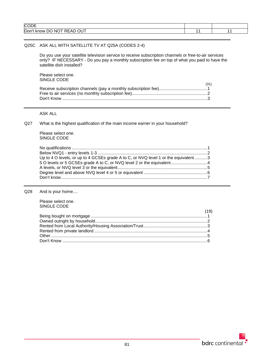| <b>CODE</b>                                                          |  |
|----------------------------------------------------------------------|--|
| $\sim\cdot\,$<br>Don'<br>N0<br>Œ.<br>know<br>н.<br>RFAI<br>ັບ<br>. . |  |
|                                                                      |  |

### Q25C ASK ALL WITH SATELLITE TV AT Q25A (CODES 2-4)

Do you use your satellite television service to receive subscription channels or free-to-air services only? IF NECESSARY - Do you pay a monthly subscription fee on top of what you paid to have the satellite dish installed?

Please select one. SINGLE CODE

| <u>UINULL UUDL</u> | (31) |
|--------------------|------|
|                    |      |
|                    |      |
|                    |      |

#### ASK ALL

## Q27 What is the highest qualification of the main income earner in your household?

Please select one. SINGLE CODE

| Up to 4 O levels, or up to 4 GCSEs grade A to C, or NVQ level 1 or the equivalent3 |  |
|------------------------------------------------------------------------------------|--|
|                                                                                    |  |
|                                                                                    |  |
|                                                                                    |  |
|                                                                                    |  |

Q28 And is your home....

Please select one. SINGLE CODE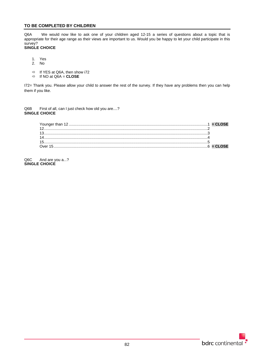## **TO BE COMPLETED BY CHILDREN**

Q6A We would now like to ask one of your children aged 12-15 a series of questions about a topic that is appropriate for their age range as their views are important to us. Would you be happy to let your child participate in this survey?

## **SINGLE CHOICE**

- 1. Yes
- 2. No
- $\Rightarrow$  If YES at Q6A, then show i72
- $\Rightarrow$  If NO at Q6A = **CLOSE**

I72= Thank you. Please allow your child to answer the rest of the survey. If they have any problems then you can help them if you like.

Q6B First of all, can I just check how old you are....? **SINGLE CHOICE**

Q6C And are you a...? **SINGLE CHOICE**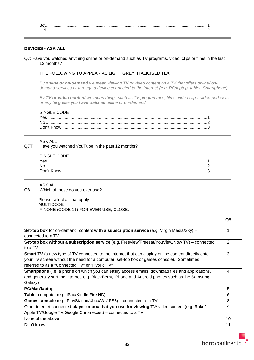### **DEVICES - ASK ALL**

Q7: Have you watched anything online or on-demand such as TV programs, video, clips or films in the last 12 months?

#### THE FOLLOWING TO APPEAR AS LIGHT GREY, ITALICISED TEXT

*By online or on-demand we mean viewing TV or video content on a TV that offers online/ ondemand services or through a device connected to the Internet (e.g. PC/laptop, tablet, Smartphone).*

*By TV or video content we mean things such as TV programmes, films, video clips, video podcasts or anything else you have watched online or on-demand.*

## SINGLE CODE

| Yes |  |
|-----|--|
| No. |  |
|     |  |

#### ASK ALL

Q7T Have you watched YouTube in the past 12 months?

#### SINGLE CODE

ASK ALL

Q8 Which of these do you ever use?

 Please select all that apply. MULTICODE IF NONE (CODE 11) FOR EVER USE, CLOSE.

|                                                                                                                                                                                                                                                         | Q8 |
|---------------------------------------------------------------------------------------------------------------------------------------------------------------------------------------------------------------------------------------------------------|----|
| <b>Set-top box</b> for on-demand content with a subscription service (e.g. Virgin Media/Sky) -<br>connected to a TV                                                                                                                                     |    |
| Set-top box without a subscription service (e.g. Freeview/Freesat/YouView/Now TV) – connected<br>to a TV                                                                                                                                                | 2  |
| <b>Smart TV</b> (a new type of TV connected to the internet that can display online content directly onto<br>your TV screen without the need for a computer; set-top box or games console). Sometimes<br>referred to as a "Connected TV" or "Hybrid TV" | 3  |
| <b>Smartphone</b> (i.e. a phone on which you can easily access emails, download files and applications,<br>and generally surf the internet, e.g. BlackBerry, iPhone and Android phones such as the Samsung<br>Galaxy)                                   | 4  |
| PC/Mac/laptop                                                                                                                                                                                                                                           | 5  |
| <b>Tablet</b> computer (e.g. iPad/Kindle Fire HD)                                                                                                                                                                                                       | 6  |
| Games console (e.g. PlayStation/Xbox/Wii/ PS3) – connected to a TV                                                                                                                                                                                      | 8  |
| Other internet connected player or box that you use for viewing TV/ video content (e.g. Roku/<br>Apple TV/Google TV/Google Chromecast) – connected to a TV                                                                                              | 9  |
| None of the above                                                                                                                                                                                                                                       | 10 |
| Don't know                                                                                                                                                                                                                                              | 11 |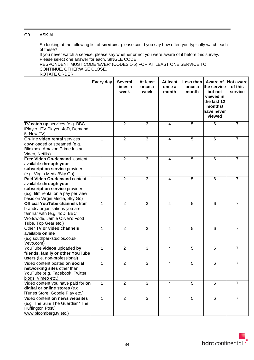## Q9 ASK ALL

So looking at the following list of **services**, please could you say how often you typically watch each of these?

If you never watch a service, please say whether or not you were aware of it before this survey. Please select one answer for each. SINGLE CODE

RESPONDENT MUST CODE 'EVER' (CODES 1-5) FOR AT LEAST ONE SERVICE TO CONTINUE, OTHERWISE CLOSE. ROTATE ORDER

#### **Every day Several times a week At least once a week At least once a month Less than once a month Aware of the service but not viewed in the last 12 months/ have never viewed Not aware of this service** TV **catch up** services (e.g. BBC iPlayer, ITV Player, 4oD, Demand 5, Now TV) 1 2 3 4 5 6 7 On-line **video rental** services downloaded or streamed (e.g. Blinkbox, Amazon Prime Instant Video, Netflix) 1 2 3 4 5 6 7 **Free Video On-demand** content available **through your subscription service** provider (e.g. Virgin Media/Sky Go) 1 2 3 4 5 6 7 **Paid Video On-demand** content available **through your subscription service** provider (e.g. film rental on a pay per view basis on Virgin Media, Sky Go) 1 2 3 4 5 6 7 **Official YouTube channels** from brands/ organisations you are familiar with (e.g. 4oD, BBC Worldwide, Jamie Oliver's Food Tube, Top Gear etc.) 1 2 3 4 5 6 7 Other **TV or video channels**  available **online** (e.g.southparkstudios.co.uk, Vevo.com) 1 2 3 4 5 6 7 YouTube **videos** uploaded **by friends, family or other YouTube users** (i.e. non-professional) 1 2 3 4 5 6 7 Video content posted **on social networking sites** other than YouTube (e.g. Facebook, Twitter, blogs, Vimeo etc.) 1 2 3 4 5 6 7 Video content you have paid for **on digital or online stores** (e.g. iTunes Store, Google Play etc.) 1 | 2 | 3 | 4 | 5 | 6 | 7 Video content **on news websites** (e.g. The Sun/ The Guardian/ The Huffington Post/ www.bloomberg.tv etc.) 1 2 3 4 5 6 7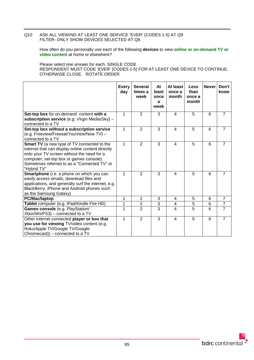## Q10 ASK ALL VIEWING AT LEAST ONE SERVICE 'EVER' (CODES 1-5) AT Q9 FILTER- ONLY SHOW DEVICES SELECTED AT Q8

How often do you personally use each of the following **devices** to view **online or on-demand TV or video content** at home or elsewhere?

Please select one answer for each. SINGLE CODE RESPONDENT MUST CODE 'EVER' (CODES 1-5) FOR AT LEAST ONE DEVICE TO CONTINUE, OTHERWISE CLOSE. ROTATE ORDER

|                                                                                                                                                                                                                                                                  | <b>Every</b><br>day | <b>Several</b><br>times a<br>week | At<br>least<br>once<br>a<br>week | At least<br>once a<br>month | <b>Less</b><br>than<br>once a<br>month | <b>Never</b> | Don't<br>know  |
|------------------------------------------------------------------------------------------------------------------------------------------------------------------------------------------------------------------------------------------------------------------|---------------------|-----------------------------------|----------------------------------|-----------------------------|----------------------------------------|--------------|----------------|
| Set-top box for on-demand content with a<br>subscription service (e.g. Virgin Media/Sky) -<br>connected to a TV                                                                                                                                                  | 1                   | $\overline{2}$                    | 3                                | $\overline{4}$              | 5                                      | 6            | $\overline{7}$ |
| Set-top box without a subscription service<br>(e.g. Freeview/Freesat/YouView/Now TV) -<br>connected to a TV                                                                                                                                                      | 1                   | $\overline{2}$                    | $\overline{3}$                   | $\overline{\mathbf{4}}$     | $\overline{5}$                         | 6            | $\overline{7}$ |
| <b>Smart TV</b> (a new type of TV connected to the<br>internet that can display online content directly<br>onto your TV screen without the need for a<br>computer; set-top box or games console).<br>Sometimes referred to as a "Connected TV" or<br>"Hybrid TV" | 1                   | $\overline{2}$                    | 3                                | 4                           | 5                                      | 6            | $\overline{7}$ |
| Smartphone (i.e. a phone on which you can<br>easily access emails, download files and<br>applications, and generally surf the internet, e.g.<br>BlackBerry, iPhone and Android phones such<br>as the Samsung Galaxy)                                             | 1                   | $\overline{2}$                    | 3                                | $\overline{\mathbf{A}}$     | 5                                      | 6            | $\overline{7}$ |
| PC/Mac/laptop                                                                                                                                                                                                                                                    | 1                   | $\overline{2}$                    | 3                                | 4                           | 5                                      | 6            | $\overline{7}$ |
| Tablet computer (e.g. iPad/Kindle Fire HD)                                                                                                                                                                                                                       | 1                   | $\overline{2}$                    | $\overline{3}$                   | $\overline{\mathbf{4}}$     | $\overline{5}$                         | 6            | $\overline{7}$ |
| Games console (e.g. PlayStation/<br>Xbox/Wii/PS3) – connected to a TV                                                                                                                                                                                            | $\overline{1}$      | $\overline{2}$                    | $\overline{3}$                   | $\overline{\mathbf{4}}$     | $\overline{5}$                         | 6            | $\overline{7}$ |
| Other internet connected player or box that<br>you use for viewing TV/video content (e.g.<br>Roku/Apple TV/Google TV/Google<br>Chromecast)) – connected to a TV                                                                                                  | 1                   | $\overline{2}$                    | 3                                | $\overline{4}$              | 5                                      | 6            | $\overline{7}$ |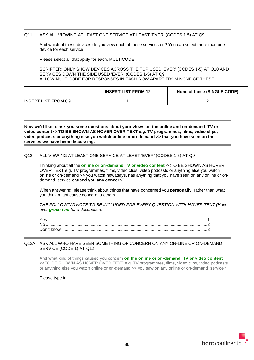## Q11 ASK ALL VIEWING AT LEAST ONE SERVICE AT LEAST 'EVER' (CODES 1-5) AT Q9

And which of these devices do you view each of these services on? You can select more than one device for each service

Please select all that apply for each. MULTICODE

SCRIPTER: ONLY SHOW DEVICES ACROSS THE TOP USED 'EVER' (CODES 1-5) AT Q10 AND SERVICES DOWN THE SIDE USED 'EVER' (CODES 1-5) AT Q9 ALLOW MULTICODE FOR RESPONSES IN EACH ROW APART FROM NONE OF THESE

|                            | <b>INSERT LIST FROM 12</b> | None of these (SINGLE CODE) |  |
|----------------------------|----------------------------|-----------------------------|--|
| <b>INSERT LIST FROM Q9</b> |                            |                             |  |

**Now we'd like to ask you some questions about your views on the online and on-demand TV or video content <<TO BE SHOWN AS HOVER OVER TEXT e.g. TV programmes, films, video clips, video podcasts or anything else you watch online or on-demand >> that you have seen on the services we have been discussing.**

## Q12 ALL VIEWING AT LEAST ONE SERVICE AT LEAST 'EVER' (CODES 1-5) AT Q9

Thinking about all the **online or on-demand TV or video content** <<TO BE SHOWN AS HOVER OVER TEXT e.g. TV programmes, films, video clips, video podcasts or anything else you watch online or on-demand >> you watch nowadays, has anything that you have seen on any online or ondemand service **caused you any concern**?

When answering, please think about things that have concerned you **personally**, rather than what you think might cause concern to others.

*THE FOLLOWING NOTE TO BE INCLUDED FOR EVERY QUESTION WITH HOVER TEXT (Hover over green text for a description)*

#### Q12A ASK ALL WHO HAVE SEEN SOMETHING OF CONCERN ON ANY ON-LINE OR ON-DEMAND SERVICE (CODE 1) AT Q12

And what kind of things caused you concern **on the online or on-demand TV or video content** <<TO BE SHOWN AS HOVER OVER TEXT e.g. TV programmes, films, video clips, video podcasts or anything else you watch online or on-demand >> you saw on any online or on-demand service?

Please type in.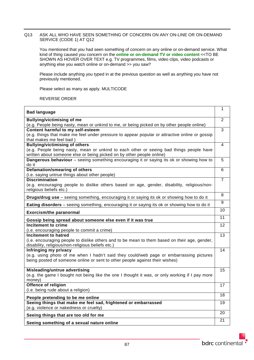## Q13 ASK ALL WHO HAVE SEEN SOMETHING OF CONCERN ON ANY ON-LINE OR ON-DEMAND SERVICE (CODE 1) AT Q12

You mentioned that you had seen something of concern on any online or on-demand service. What kind of thing caused you concern on the **online or on-demand TV or video content** <<TO BE SHOWN AS HOVER OVER TEXT e.g. TV programmes, films, video clips, video podcasts or anything else you watch online or on-demand >> you saw?

Please include anything you typed in at the previous question as well as anything you have not previously mentioned.

Please select as many as apply. MULTICODE

REVERSE ORDER

| <b>Bad language</b>                                                                                                                                                     | 1              |  |  |
|-------------------------------------------------------------------------------------------------------------------------------------------------------------------------|----------------|--|--|
| <b>Bullying/victimising of me</b>                                                                                                                                       | $\overline{2}$ |  |  |
| (e.g. People being nasty, mean or unkind to me, or being picked on by other people online)                                                                              |                |  |  |
| Content harmful to my self-esteem                                                                                                                                       |                |  |  |
| (e.g. things that make me feel under pressure to appear popular or attractive online or gossip                                                                          |                |  |  |
| that makes me feel bad)                                                                                                                                                 |                |  |  |
| <b>Bullying/victimising of others</b>                                                                                                                                   | 4              |  |  |
| (e.g. People being nasty, mean or unkind to each other or seeing bad things people have                                                                                 |                |  |  |
| written about someone else or being picked on by other people online)                                                                                                   |                |  |  |
| Dangerous behaviour - seeing something encouraging it or saying its ok or showing how to<br>do it                                                                       | 5              |  |  |
| Defamation/smearing of others                                                                                                                                           | 6              |  |  |
| (i.e. saying untrue things about other people)                                                                                                                          |                |  |  |
| <b>Discrimination</b>                                                                                                                                                   | $\overline{7}$ |  |  |
| (e.g. encouraging people to dislike others based on age, gender, disability, religious/non-<br>religious beliefs etc.)                                                  |                |  |  |
| Drugs/drug use - seeing something, encouraging it or saying its ok or showing how to do it                                                                              | 8              |  |  |
| Eating disorders - seeing something, encouraging it or saying its ok or showing how to do it                                                                            | 9              |  |  |
| <b>Exorcism/the paranormal</b>                                                                                                                                          | 10             |  |  |
| Gossip being spread about someone else even if it was true                                                                                                              | 11             |  |  |
|                                                                                                                                                                         |                |  |  |
| Incitement to crime                                                                                                                                                     | 12             |  |  |
| (i.e. encouraging people to commit a crime)                                                                                                                             |                |  |  |
| <b>Incitement to hatred</b>                                                                                                                                             | 13             |  |  |
| (i.e. encouraging people to dislike others and to be mean to them based on their age, gender,<br>disability, religious/non-religious beliefs etc.)                      |                |  |  |
| Infringing my privacy                                                                                                                                                   | 14             |  |  |
| (e.g. using photo of me when I hadn't said they could/web page or embarrassing pictures<br>being posted of someone online or sent to other people against their wishes) |                |  |  |
|                                                                                                                                                                         |                |  |  |
| Misleading/untrue advertising                                                                                                                                           | 15             |  |  |
| (e.g. the game I bought not being like the one I thought it was, or only working if I pay more<br>money)                                                                |                |  |  |
| Offence of religion                                                                                                                                                     | 17             |  |  |
| (i.e. being rude about a religion)                                                                                                                                      |                |  |  |
| People pretending to be me online                                                                                                                                       | 18             |  |  |
| Seeing things that make me feel sad, frightened or embarrassed                                                                                                          | 19             |  |  |
| (e.g. violence or nakedness or cruelty)                                                                                                                                 |                |  |  |
| Seeing things that are too old for me                                                                                                                                   | 20<br>21       |  |  |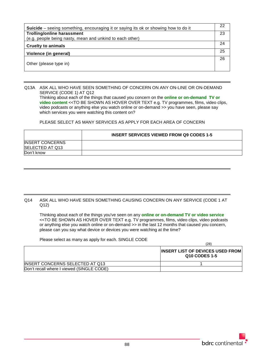| 22 |
|----|
| 23 |
| 24 |
|    |
| 25 |
| 26 |
|    |
|    |

Q13A ASK ALL WHO HAVE SEEN SOMETHING OF CONCERN ON ANY ON-LINE OR ON-DEMAND SERVICE (CODE 1) AT Q12 Thinking about each of the things that caused you concern on the **online or on-demand TV or video content** <<TO BE SHOWN AS HOVER OVER TEXT e.g. TV programmes, films, video clips, video podcasts or anything else you watch online or on-demand >> you have seen, please say which services you were watching this content on?

### PLEASE SELECT AS MANY SERVICES AS APPLY FOR EACH AREA OF CONCERN

|                                           | <b>INSERT SERVICES VIEWED FROM Q9 CODES 1-5</b> |
|-------------------------------------------|-------------------------------------------------|
| <b>INSERT CONCERNS</b><br>SELECTED AT Q13 |                                                 |
| Don't know                                |                                                 |

### Q14 ASK ALL WHO HAVE SEEN SOMETHING CAUSING CONCERN ON ANY SERVICE (CODE 1 AT Q12)

Thinking about each of the things you've seen on any **online or on-demand TV or video service** <<TO BE SHOWN AS HOVER OVER TEXT e.g. TV programmes, films, video clips, video podcasts or anything else you watch online or on-demand >> in the last 12 months that caused you concern, please can you say what device or devices you were watching at the time?

Please select as many as apply for each. SINGLE CODE

|                                           | (28)                                                             |
|-------------------------------------------|------------------------------------------------------------------|
|                                           | <b>IINSERT LIST OF DEVICES USED FROM</b><br><b>Q10 CODES 1-5</b> |
| <b>INSERT CONCERNS SELECTED AT Q13</b>    |                                                                  |
| Don't recall where I viewed (SINGLE CODE) |                                                                  |

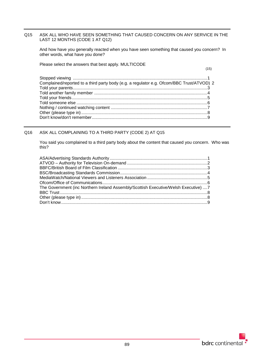## Q15 ASK ALL WHO HAVE SEEN SOMETHING THAT CAUSED CONCERN ON ANY SERVICE IN THE LAST 12 MONTHS (CODE 1 AT Q12)

And how have you generally reacted when you have seen something that caused you concern? In other words, what have you done?

Please select the answers that best apply. MULTICODE

(15)

| Complained/reported to a third party body (e.g. a regulator e.g. Ofcom/BBC Trust/ATVOD) 2 |  |
|-------------------------------------------------------------------------------------------|--|
|                                                                                           |  |
|                                                                                           |  |
|                                                                                           |  |
|                                                                                           |  |
|                                                                                           |  |
|                                                                                           |  |
|                                                                                           |  |

## Q16 ASK ALL COMPLAINING TO A THIRD PARTY (CODE 2) AT Q15

You said you complained to a third party body about the content that caused you concern. Who was this?

| The Government (inc Northern Ireland Assembly/Scottish Executive/Welsh Executive) 7 |  |
|-------------------------------------------------------------------------------------|--|
|                                                                                     |  |
|                                                                                     |  |
|                                                                                     |  |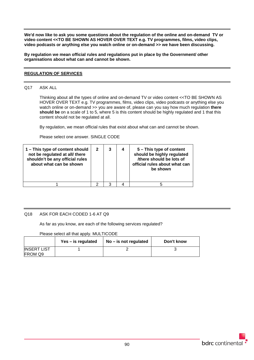**We'd now like to ask you some questions about the regulation of the online and on-demand TV or video content <<TO BE SHOWN AS HOVER OVER TEXT e.g. TV programmes, films, video clips, video podcasts or anything else you watch online or on-demand >> we have been discussing.** 

**By regulation we mean official rules and regulations put in place by the Government/ other organisations about what can and cannot be shown.**

## **REGULATION OF SERVICES**

#### Q17 ASK ALL

Thinking about all the types of online and on-demand TV or video content <<TO BE SHOWN AS HOVER OVER TEXT e.g. TV programmes, films, video clips, video podcasts or anything else you watch online or on-demand >> you are aware of, please can you say how much regulation **there should be** on a scale of 1 to 5, where 5 is this content should be highly regulated and 1 that this content should not be regulated at all.

By regulation, we mean official rules that exist about what can and cannot be shown.

Please select one answer. SINGLE CODE

| 1 - This type of content should<br>not be regulated at all/ there<br>shouldn't be any official rules<br>about what can be shown | $\mathbf{2}$ | 3 | 4 | 5 – This type of content<br>should be highly regulated<br>/there should be lots of<br>official rules about what can<br>be shown |
|---------------------------------------------------------------------------------------------------------------------------------|--------------|---|---|---------------------------------------------------------------------------------------------------------------------------------|
|                                                                                                                                 |              | ว |   | h                                                                                                                               |

### Q18 ASK FOR EACH CODED 1-6 AT Q9

As far as you know, are each of the following services regulated?

Please select all that apply. MULTICODE

|                               | Yes – is regulated | $No - is not regulated$ | Don't know |
|-------------------------------|--------------------|-------------------------|------------|
| <b>INSERT LIST</b><br>FROM Q9 |                    |                         |            |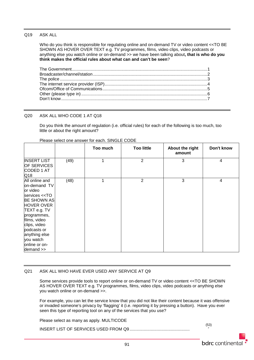### Q19 ASK ALL

Who do you think is responsible for regulating online and on-demand TV or video content <<TO BE SHOWN AS HOVER OVER TEXT e.g. TV programmes, films, video clips, video podcasts or anything else you watch online or on-demand >> we have been talking about**, that is who do you think makes the official rules about what can and can't be seen**?

#### Q20 ASK ALL WHO CODE 1 AT Q18

Do you think the amount of regulation (i.e. official rules) for each of the following is too much, too little or about the right amount?

|                                                                                                                                                                                                                                                                           |      | Too much | <b>Too little</b> | About the right<br>amount | Don't know |
|---------------------------------------------------------------------------------------------------------------------------------------------------------------------------------------------------------------------------------------------------------------------------|------|----------|-------------------|---------------------------|------------|
| <b>INSERT LIST</b><br><b>OF SERVICES</b><br>CODED 1 AT<br>Q18                                                                                                                                                                                                             | (49) |          | $\overline{2}$    | 3                         | 4          |
| All online and<br>on-demand TV<br>or video<br>services < <to<br><b>BE SHOWN AS</b><br/><b>HOVER OVER</b><br/>TEXT e.g. TV<br/>programmes,<br/>films, video<br/>clips, video<br/>podcasts or<br/>anything else<br/>you watch<br/>online or on-<br/>demand &gt;&gt;</to<br> | (48) | 1        | $\overline{2}$    | 3                         | 4          |

#### Please select one answer for each. SINGLE CODE

#### Q21 ASK ALL WHO HAVE EVER USED ANY SERVICE AT Q9

Some services provide tools to report online or on-demand TV or video content <<TO BE SHOWN AS HOVER OVER TEXT e.g. TV programmes, films, video clips, video podcasts or anything else you watch online or on-demand >>.

For example, you can let the service know that you did not like their content because it was offensive or invaded someone's privacy by 'flagging' it (i.e. reporting it by pressing a button). Have you ever seen this type of reporting tool on any of the services that you use?

Please select as many as apply. MULTICODE INSERT LIST OF SERVICES USED FROM Q9.......................

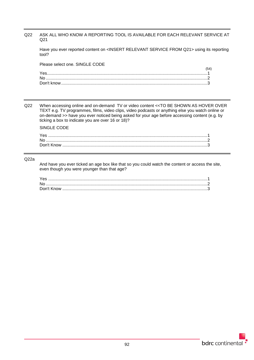## Q22 ASK ALL WHO KNOW A REPORTING TOOL IS AVAILABLE FOR EACH RELEVANT SERVICE AT Q21

Have you ever reported content on <INSERT RELEVANT SERVICE FROM Q21> using its reporting tool?

Please select one. SINGLE CODE

| 54) |
|-----|
|     |
|     |
|     |
|     |
|     |

Q22 When accessing online and on-demand TV or video content <<TO BE SHOWN AS HOVER OVER TEXT e.g. TV programmes, films, video clips, video podcasts or anything else you watch online or on-demand >> have you ever noticed being asked for your age before accessing content (e.g. by ticking a box to indicate you are over 16 or 18)?

SINGLE CODE

| Yes |  |
|-----|--|
|     |  |
|     |  |

#### Q22a

And have you ever ticked an age box like that so you could watch the content or access the site, even though you were younger than that age?

| Yes |  |
|-----|--|
|     |  |
|     |  |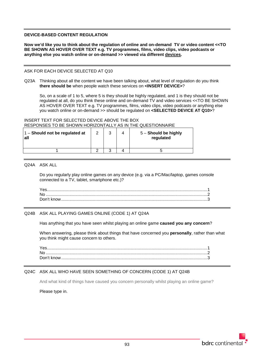#### **DEVICE-BASED CONTENT REGULATION**

**Now we'd like you to think about the regulation of online and on-demand TV or video content <<TO BE SHOWN AS HOVER OVER TEXT e.g. TV programmes, films, video clips, video podcasts or anything else you watch online or on-demand >> viewed via different devices.**

#### ASK FOR EACH DEVICE SELECTED AT Q10

Q23A Thinking about all the content we have been talking about, what level of regulation do you think **there should be** when people watch these services on **<INSERT DEVICE>**?

So, on a scale of 1 to 5, where 5 is they should be highly regulated, and 1 is they should not be regulated at all, do you think these online and on-demand TV and video services <<TO BE SHOWN AS HOVER OVER TEXT e.g. TV programmes, films, video clips, video podcasts or anything else you watch online or on-demand >> should be regulated on **<SELECTED DEVICE AT Q10>**?

## INSERT TEXT FOR SELECTED DEVICE ABOVE THE BOX RESPONSES TO BE SHOWN HORIZONTALLY AS IN THE QUESTIONNAIRE

| 1 - Should not be regulated at<br>l all | ີ | ົ | 5 - Should be highly<br>regulated |
|-----------------------------------------|---|---|-----------------------------------|
|                                         |   |   |                                   |

Q24A ASK ALL

Do you regularly play online games on any device (e.g. via a PC/Mac/laptop, games console connected to a TV, tablet, smartphone etc.)?

### Q24B ASK ALL PLAYING GAMES ONLINE (CODE 1) AT Q24A

Has anything that you have seen whilst playing an online game **caused you any concern**?

When answering, please think about things that have concerned you **personally**, rather than what you think might cause concern to others.

### Q24C ASK ALL WHO HAVE SEEN SOMETHING OF CONCERN (CODE 1) AT Q24B

And what kind of things have caused you concern personally whilst playing an online game?

Please type in.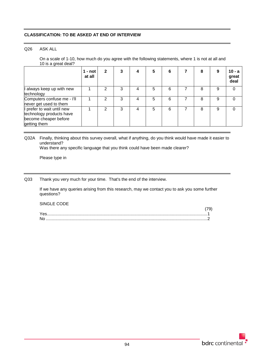## **CLASSIFICATION: TO BE ASKED AT END OF INTERVIEW**

#### Q26 ASK ALL

On a scale of 1-10, how much do you agree with the following statements, where 1 is not at all and 10 is a great deal?

|                                                                                                 | 1 - not<br>at all | $\mathbf{2}$ |   | 5 | 6 | 8 | 9 | $10 - a$<br>great<br>deal |
|-------------------------------------------------------------------------------------------------|-------------------|--------------|---|---|---|---|---|---------------------------|
| I always keep up with new<br>technology                                                         |                   | 2            | 3 | 5 | 6 | 8 | 9 | 0                         |
| Computers confuse me - I'll<br>never get used to them                                           |                   | 2            | 3 | 5 | 6 | 8 | 9 |                           |
| I prefer to wait until new<br>technology products have<br>become cheaper before<br>getting them |                   | 2            | 3 | 5 | 6 | 8 | 9 | O                         |

Q32A Finally, thinking about this survey overall, what if anything, do you think would have made it easier to understand?

Was there any specific language that you think could have been made clearer?

Please type in

Q33 Thank you very much for your time. That's the end of the interview.

If we have any queries arising from this research, may we contact you to ask you some further questions?

SINGLE CODE

| No. |  |
|-----|--|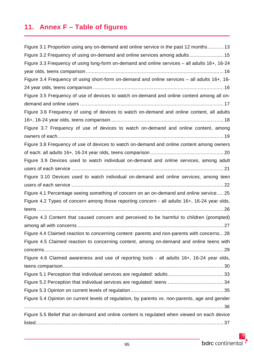# **11. Annex F – Table of figures**

| Figure 3.1 Proportion using any on-demand and online service in the past 12 months  13         |
|------------------------------------------------------------------------------------------------|
| Figure 3.2 Frequency of using on-demand and online services among adults 15                    |
| Figure 3.3 Frequency of using long-form on-demand and online services - all adults 16+, 16-24  |
|                                                                                                |
| Figure 3.4 Frequency of using short-form on-demand and online services - all adults 16+, 16-   |
|                                                                                                |
| Figure 3.5 Frequency of use of devices to watch on-demand and online content among all on-     |
|                                                                                                |
| Figure 3.6 Frequency of using of devices to watch on-demand and online content, all adults     |
|                                                                                                |
| Figure 3.7 Frequency of use of devices to watch on-demand and online content, among            |
|                                                                                                |
| Figure 3.8 Frequency of use of devices to watch on-demand and online content among owners      |
|                                                                                                |
| Figure 3.9 Devices used to watch individual on-demand and online services, among adult         |
|                                                                                                |
| Figure 3.10 Devices used to watch individual on-demand and online services, among teen         |
|                                                                                                |
| Figure 4.1 Percentage seeing something of concern on an on-demand and online service 25        |
| Figure 4.2 Types of concern among those reporting concern - all adults 16+, 16-24 year olds,   |
|                                                                                                |
| Figure 4.3 Content that caused concern and perceived to be harmful to children (prompted)      |
|                                                                                                |
| Figure 4.4 Claimed reaction to concerning content: parents and non-parents with concerns 28    |
| Figure 4.5 Claimed reaction to concerning content, among on-demand and online teens with       |
|                                                                                                |
| Figure 4.6 Claimed awareness and use of reporting tools - all adults 16+, 16-24 year olds,     |
|                                                                                                |
|                                                                                                |
|                                                                                                |
|                                                                                                |
| Figure 5.4 Opinion on current levels of regulation, by parents vs. non-parents, age and gender |
|                                                                                                |
| Figure 5.5 Belief that on-demand and online content is regulated when viewed on each device    |
|                                                                                                |